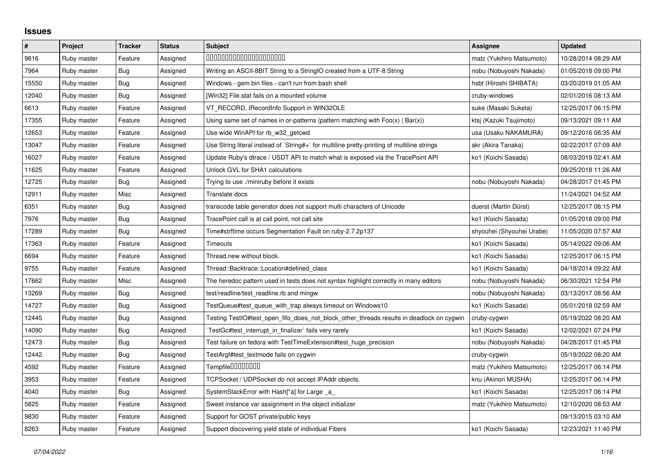## **Issues**

| $\vert$ # | Project     | Tracker    | <b>Status</b> | <b>Subject</b>                                                                              | Assignee                  | <b>Updated</b>      |
|-----------|-------------|------------|---------------|---------------------------------------------------------------------------------------------|---------------------------|---------------------|
| 9816      | Ruby master | Feature    | Assigned      | 00000000000000000000                                                                        | matz (Yukihiro Matsumoto) | 10/28/2014 08:29 AM |
| 7964      | Ruby master | Bug        | Assigned      | Writing an ASCII-8BIT String to a StringIO created from a UTF-8 String                      | nobu (Nobuyoshi Nakada)   | 01/05/2018 09:00 PM |
| 15550     | Ruby master | Bug        | Assigned      | Windows - gem bin files - can't run from bash shell                                         | hsbt (Hiroshi SHIBATA)    | 03/20/2019 01:05 AM |
| 12040     | Ruby master | <b>Bug</b> | Assigned      | [Win32] File.stat fails on a mounted volume                                                 | cruby-windows             | 02/01/2016 08:13 AM |
| 6613      | Ruby master | Feature    | Assigned      | VT_RECORD, IRecordInfo Support in WIN32OLE                                                  | suke (Masaki Suketa)      | 12/25/2017 06:15 PM |
| 17355     | Ruby master | Feature    | Assigned      | Using same set of names in or-patterns (pattern matching with $Foo(x)   Bar(x)$ )           | ktsj (Kazuki Tsujimoto)   | 09/13/2021 09:11 AM |
| 12653     | Ruby master | Feature    | Assigned      | Use wide WinAPI for rb_w32_getcwd                                                           | usa (Usaku NAKAMURA)      | 09/12/2016 06:35 AM |
| 13047     | Ruby master | Feature    | Assigned      | Use String literal instead of `String#+` for multiline pretty-printing of multiline strings | akr (Akira Tanaka)        | 02/22/2017 07:09 AM |
| 16027     | Ruby master | Feature    | Assigned      | Update Ruby's dtrace / USDT API to match what is exposed via the TracePoint API             | ko1 (Koichi Sasada)       | 08/03/2019 02:41 AM |
| 11625     | Ruby master | Feature    | Assigned      | Unlock GVL for SHA1 calculations                                                            |                           | 09/25/2018 11:26 AM |
| 12725     | Ruby master | Bug        | Assigned      | Trying to use ./miniruby before it exists                                                   | nobu (Nobuyoshi Nakada)   | 04/28/2017 01:45 PM |
| 12911     | Ruby master | Misc       | Assigned      | Translate docs                                                                              |                           | 11/24/2021 04:52 AM |
| 6351      | Ruby master | Bug        | Assigned      | transcode table generator does not support multi characters of Unicode                      | duerst (Martin Dürst)     | 12/25/2017 06:15 PM |
| 7976      | Ruby master | Bug        | Assigned      | TracePoint call is at call point, not call site                                             | ko1 (Koichi Sasada)       | 01/05/2018 09:00 PM |
| 17289     | Ruby master | <b>Bug</b> | Assigned      | Time#strftime occurs Segmentation Fault on ruby-2.7.2p137                                   | shyouhei (Shyouhei Urabe) | 11/05/2020 07:57 AM |
| 17363     | Ruby master | Feature    | Assigned      | Timeouts                                                                                    | ko1 (Koichi Sasada)       | 05/14/2022 09:06 AM |
| 6694      | Ruby master | Feature    | Assigned      | Thread.new without block.                                                                   | ko1 (Koichi Sasada)       | 12/25/2017 06:15 PM |
| 9755      | Ruby master | Feature    | Assigned      | Thread::Backtrace::Location#defined class                                                   | ko1 (Koichi Sasada)       | 04/18/2014 09:22 AM |
| 17662     | Ruby master | Misc       | Assigned      | The heredoc pattern used in tests does not syntax highlight correctly in many editors       | nobu (Nobuyoshi Nakada)   | 06/30/2021 12:54 PM |
| 13269     | Ruby master | <b>Bug</b> | Assigned      | test/readline/test_readline.rb and mingw                                                    | nobu (Nobuyoshi Nakada)   | 03/13/2017 08:56 AM |
| 14727     | Ruby master | Bug        | Assigned      | TestQueue#test queue with trap always timeout on Windows10                                  | ko1 (Koichi Sasada)       | 05/01/2018 02:59 AM |
| 12445     | Ruby master | <b>Bug</b> | Assigned      | Testing TestIO#test_open_fifo_does_not_block_other_threads results in deadlock on cygwin    | cruby-cygwin              | 05/19/2022 08:20 AM |
| 14090     | Ruby master | <b>Bug</b> | Assigned      | TestGc#test_interrupt_in_finalizer` fails very rarely                                       | ko1 (Koichi Sasada)       | 12/02/2021 07:24 PM |
| 12473     | Ruby master | Bug        | Assigned      | Test failure on fedora with TestTimeExtension#test huge precision                           | nobu (Nobuyoshi Nakada)   | 04/28/2017 01:45 PM |
| 12442     | Ruby master | <b>Bug</b> | Assigned      | TestArgf#test textmode fails on cygwin                                                      | cruby-cygwin              | 05/19/2022 08:20 AM |
| 4592      | Ruby master | Feature    | Assigned      | Tempfile0000000                                                                             | matz (Yukihiro Matsumoto) | 12/25/2017 06:14 PM |
| 3953      | Ruby master | Feature    | Assigned      | TCPSocket / UDPSocket do not accept IPAddr objects.                                         | knu (Akinori MUSHA)       | 12/25/2017 06:14 PM |
| 4040      | Ruby master | Bug        | Assigned      | SystemStackError with Hash[*a] for Large a                                                  | ko1 (Koichi Sasada)       | 12/25/2017 06:14 PM |
| 5825      | Ruby master | Feature    | Assigned      | Sweet instance var assignment in the object initializer                                     | matz (Yukihiro Matsumoto) | 12/10/2020 08:53 AM |
| 9830      | Ruby master | Feature    | Assigned      | Support for GOST private/public keys                                                        |                           | 09/13/2015 03:10 AM |
| 8263      | Ruby master | Feature    | Assigned      | Support discovering yield state of individual Fibers                                        | ko1 (Koichi Sasada)       | 12/23/2021 11:40 PM |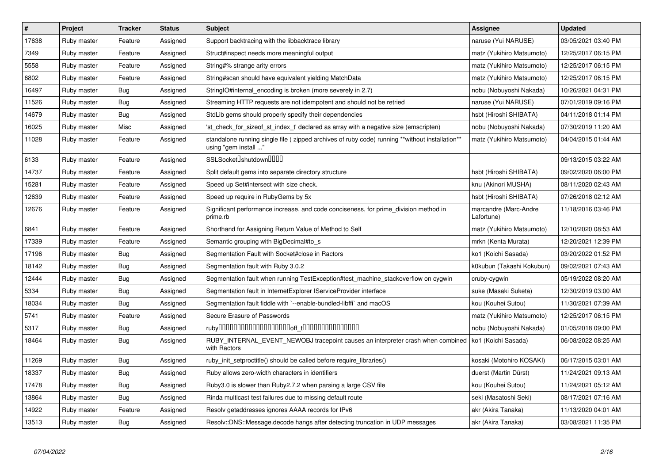| $\vert$ # | Project     | <b>Tracker</b> | <b>Status</b> | <b>Subject</b>                                                                                                         | Assignee                            | <b>Updated</b>      |
|-----------|-------------|----------------|---------------|------------------------------------------------------------------------------------------------------------------------|-------------------------------------|---------------------|
| 17638     | Ruby master | Feature        | Assigned      | Support backtracing with the libbacktrace library                                                                      | naruse (Yui NARUSE)                 | 03/05/2021 03:40 PM |
| 7349      | Ruby master | Feature        | Assigned      | Struct#inspect needs more meaningful output                                                                            | matz (Yukihiro Matsumoto)           | 12/25/2017 06:15 PM |
| 5558      | Ruby master | Feature        | Assigned      | String#% strange arity errors                                                                                          | matz (Yukihiro Matsumoto)           | 12/25/2017 06:15 PM |
| 6802      | Ruby master | Feature        | Assigned      | String#scan should have equivalent yielding MatchData                                                                  | matz (Yukihiro Matsumoto)           | 12/25/2017 06:15 PM |
| 16497     | Ruby master | Bug            | Assigned      | String IO#internal encoding is broken (more severely in 2.7)                                                           | nobu (Nobuyoshi Nakada)             | 10/26/2021 04:31 PM |
| 11526     | Ruby master | <b>Bug</b>     | Assigned      | Streaming HTTP requests are not idempotent and should not be retried                                                   | naruse (Yui NARUSE)                 | 07/01/2019 09:16 PM |
| 14679     | Ruby master | Bug            | Assigned      | StdLib gems should properly specify their dependencies                                                                 | hsbt (Hiroshi SHIBATA)              | 04/11/2018 01:14 PM |
| 16025     | Ruby master | Misc           | Assigned      | 'st_check_for_sizeof_st_index_t' declared as array with a negative size (emscripten)                                   | nobu (Nobuyoshi Nakada)             | 07/30/2019 11:20 AM |
| 11028     | Ruby master | Feature        | Assigned      | standalone running single file (zipped archives of ruby code) running **without installation**<br>using "gem install " | matz (Yukihiro Matsumoto)           | 04/04/2015 01:44 AM |
| 6133      | Ruby master | Feature        | Assigned      | SSLSocket <sup>[</sup> shutdown <sup>[11]</sup>                                                                        |                                     | 09/13/2015 03:22 AM |
| 14737     | Ruby master | Feature        | Assigned      | Split default gems into separate directory structure                                                                   | hsbt (Hiroshi SHIBATA)              | 09/02/2020 06:00 PM |
| 15281     | Ruby master | Feature        | Assigned      | Speed up Set#intersect with size check.                                                                                | knu (Akinori MUSHA)                 | 08/11/2020 02:43 AM |
| 12639     | Ruby master | Feature        | Assigned      | Speed up require in RubyGems by 5x                                                                                     | hsbt (Hiroshi SHIBATA)              | 07/26/2018 02:12 AM |
| 12676     | Ruby master | Feature        | Assigned      | Significant performance increase, and code conciseness, for prime_division method in<br>prime.rb                       | marcandre (Marc-Andre<br>Lafortune) | 11/18/2016 03:46 PM |
| 6841      | Ruby master | Feature        | Assigned      | Shorthand for Assigning Return Value of Method to Self                                                                 | matz (Yukihiro Matsumoto)           | 12/10/2020 08:53 AM |
| 17339     | Ruby master | Feature        | Assigned      | Semantic grouping with BigDecimal#to s                                                                                 | mrkn (Kenta Murata)                 | 12/20/2021 12:39 PM |
| 17196     | Ruby master | Bug            | Assigned      | Segmentation Fault with Socket#close in Ractors                                                                        | ko1 (Koichi Sasada)                 | 03/20/2022 01:52 PM |
| 18142     | Ruby master | Bug            | Assigned      | Segmentation fault with Ruby 3.0.2                                                                                     | k0kubun (Takashi Kokubun)           | 09/02/2021 07:43 AM |
| 12444     | Ruby master | <b>Bug</b>     | Assigned      | Segmentation fault when running TestException#test_machine_stackoverflow on cygwin                                     | cruby-cygwin                        | 05/19/2022 08:20 AM |
| 5334      | Ruby master | <b>Bug</b>     | Assigned      | Segmentation fault in InternetExplorer IServiceProvider interface                                                      | suke (Masaki Suketa)                | 12/30/2019 03:00 AM |
| 18034     | Ruby master | <b>Bug</b>     | Assigned      | Segmentation fault fiddle with `--enable-bundled-libffi` and macOS                                                     | kou (Kouhei Sutou)                  | 11/30/2021 07:39 AM |
| 5741      | Ruby master | Feature        | Assigned      | Secure Erasure of Passwords                                                                                            | matz (Yukihiro Matsumoto)           | 12/25/2017 06:15 PM |
| 5317      | Ruby master | <b>Bug</b>     | Assigned      |                                                                                                                        | nobu (Nobuyoshi Nakada)             | 01/05/2018 09:00 PM |
| 18464     | Ruby master | Bug            | Assigned      | RUBY INTERNAL EVENT NEWOBJ tracepoint causes an interpreter crash when combined   ko1 (Koichi Sasada)<br>with Ractors  |                                     | 06/08/2022 08:25 AM |
| 11269     | Ruby master | <b>Bug</b>     | Assigned      | ruby init setproctitle() should be called before require libraries()                                                   | kosaki (Motohiro KOSAKI)            | 06/17/2015 03:01 AM |
| 18337     | Ruby master | <b>Bug</b>     | Assigned      | Ruby allows zero-width characters in identifiers                                                                       | duerst (Martin Dürst)               | 11/24/2021 09:13 AM |
| 17478     | Ruby master | <b>Bug</b>     | Assigned      | Ruby3.0 is slower than Ruby2.7.2 when parsing a large CSV file                                                         | kou (Kouhei Sutou)                  | 11/24/2021 05:12 AM |
| 13864     | Ruby master | Bug            | Assigned      | Rinda multicast test failures due to missing default route                                                             | seki (Masatoshi Seki)               | 08/17/2021 07:16 AM |
| 14922     | Ruby master | Feature        | Assigned      | Resolv getaddresses ignores AAAA records for IPv6                                                                      | akr (Akira Tanaka)                  | 11/13/2020 04:01 AM |
| 13513     | Ruby master | Bug            | Assigned      | Resolv::DNS::Message.decode hangs after detecting truncation in UDP messages                                           | akr (Akira Tanaka)                  | 03/08/2021 11:35 PM |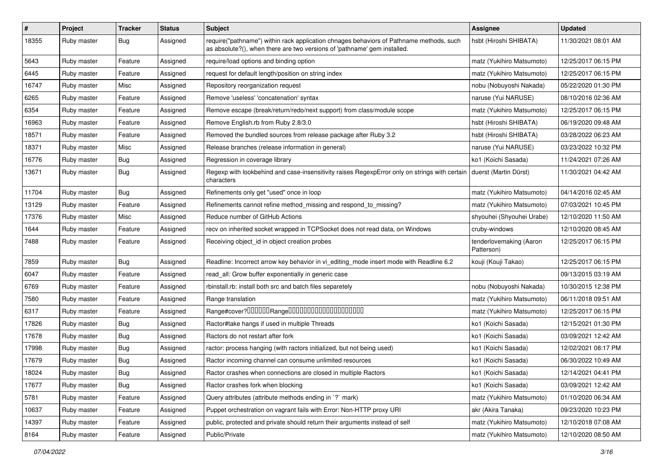| #     | Project     | <b>Tracker</b> | <b>Status</b> | <b>Subject</b>                                                                                                                                                      | <b>Assignee</b>                       | <b>Updated</b>      |
|-------|-------------|----------------|---------------|---------------------------------------------------------------------------------------------------------------------------------------------------------------------|---------------------------------------|---------------------|
| 18355 | Ruby master | <b>Bug</b>     | Assigned      | require("pathname") within rack application chnages behaviors of Pathname methods, such<br>as absolute?(), when there are two versions of 'pathname' gem installed. | hsbt (Hiroshi SHIBATA)                | 11/30/2021 08:01 AM |
| 5643  | Ruby master | Feature        | Assigned      | require/load options and binding option                                                                                                                             | matz (Yukihiro Matsumoto)             | 12/25/2017 06:15 PM |
| 6445  | Ruby master | Feature        | Assigned      | request for default length/position on string index                                                                                                                 | matz (Yukihiro Matsumoto)             | 12/25/2017 06:15 PM |
| 16747 | Ruby master | Misc           | Assigned      | Repository reorganization request                                                                                                                                   | nobu (Nobuyoshi Nakada)               | 05/22/2020 01:30 PM |
| 6265  | Ruby master | Feature        | Assigned      | Remove 'useless' 'concatenation' syntax                                                                                                                             | naruse (Yui NARUSE)                   | 08/10/2016 02:36 AM |
| 6354  | Ruby master | Feature        | Assigned      | Remove escape (break/return/redo/next support) from class/module scope                                                                                              | matz (Yukihiro Matsumoto)             | 12/25/2017 06:15 PM |
| 16963 | Ruby master | Feature        | Assigned      | Remove English.rb from Ruby 2.8/3.0                                                                                                                                 | hsbt (Hiroshi SHIBATA)                | 06/19/2020 09:48 AM |
| 18571 | Ruby master | Feature        | Assigned      | Removed the bundled sources from release package after Ruby 3.2                                                                                                     | hsbt (Hiroshi SHIBATA)                | 03/28/2022 06:23 AM |
| 18371 | Ruby master | Misc           | Assigned      | Release branches (release information in general)                                                                                                                   | naruse (Yui NARUSE)                   | 03/23/2022 10:32 PM |
| 16776 | Ruby master | Bug            | Assigned      | Regression in coverage library                                                                                                                                      | ko1 (Koichi Sasada)                   | 11/24/2021 07:26 AM |
| 13671 | Ruby master | Bug            | Assigned      | Regexp with lookbehind and case-insensitivity raises RegexpError only on strings with certain<br>characters                                                         | duerst (Martin Dürst)                 | 11/30/2021 04:42 AM |
| 11704 | Ruby master | <b>Bug</b>     | Assigned      | Refinements only get "used" once in loop                                                                                                                            | matz (Yukihiro Matsumoto)             | 04/14/2016 02:45 AM |
| 13129 | Ruby master | Feature        | Assigned      | Refinements cannot refine method_missing and respond_to_missing?                                                                                                    | matz (Yukihiro Matsumoto)             | 07/03/2021 10:45 PM |
| 17376 | Ruby master | Misc           | Assigned      | Reduce number of GitHub Actions                                                                                                                                     | shyouhei (Shyouhei Urabe)             | 12/10/2020 11:50 AM |
| 1644  | Ruby master | Feature        | Assigned      | recv on inherited socket wrapped in TCPSocket does not read data, on Windows                                                                                        | cruby-windows                         | 12/10/2020 08:45 AM |
| 7488  | Ruby master | Feature        | Assigned      | Receiving object_id in object creation probes                                                                                                                       | tenderlovemaking (Aaron<br>Patterson) | 12/25/2017 06:15 PM |
| 7859  | Ruby master | <b>Bug</b>     | Assigned      | Readline: Incorrect arrow key behavior in vi_editing_mode insert mode with Readline 6.2                                                                             | kouji (Kouji Takao)                   | 12/25/2017 06:15 PM |
| 6047  | Ruby master | Feature        | Assigned      | read_all: Grow buffer exponentially in generic case                                                                                                                 |                                       | 09/13/2015 03:19 AM |
| 6769  | Ruby master | Feature        | Assigned      | rbinstall.rb: install both src and batch files separetely                                                                                                           | nobu (Nobuyoshi Nakada)               | 10/30/2015 12:38 PM |
| 7580  | Ruby master | Feature        | Assigned      | Range translation                                                                                                                                                   | matz (Yukihiro Matsumoto)             | 06/11/2018 09:51 AM |
| 6317  | Ruby master | Feature        | Assigned      | Range#cover?000000Range00000000000000000000                                                                                                                         | matz (Yukihiro Matsumoto)             | 12/25/2017 06:15 PM |
| 17826 | Ruby master | Bug            | Assigned      | Ractor#take hangs if used in multiple Threads                                                                                                                       | ko1 (Koichi Sasada)                   | 12/15/2021 01:30 PM |
| 17678 | Ruby master | <b>Bug</b>     | Assigned      | Ractors do not restart after fork                                                                                                                                   | ko1 (Koichi Sasada)                   | 03/09/2021 12:42 AM |
| 17998 | Ruby master | Bug            | Assigned      | ractor: process hanging (with ractors initialized, but not being used)                                                                                              | ko1 (Koichi Sasada)                   | 12/02/2021 08:17 PM |
| 17679 | Ruby master | Bug            | Assigned      | Ractor incoming channel can consume unlimited resources                                                                                                             | ko1 (Koichi Sasada)                   | 06/30/2022 10:49 AM |
| 18024 | Ruby master | Bug            | Assigned      | Ractor crashes when connections are closed in multiple Ractors                                                                                                      | ko1 (Koichi Sasada)                   | 12/14/2021 04:41 PM |
| 17677 | Ruby master | Bug            | Assigned      | Ractor crashes fork when blocking                                                                                                                                   | ko1 (Koichi Sasada)                   | 03/09/2021 12:42 AM |
| 5781  | Ruby master | Feature        | Assigned      | Query attributes (attribute methods ending in `?` mark)                                                                                                             | matz (Yukihiro Matsumoto)             | 01/10/2020 06:34 AM |
| 10637 | Ruby master | Feature        | Assigned      | Puppet orchestration on vagrant fails with Error: Non-HTTP proxy URI                                                                                                | akr (Akira Tanaka)                    | 09/23/2020 10:23 PM |
| 14397 | Ruby master | Feature        | Assigned      | public, protected and private should return their arguments instead of self                                                                                         | matz (Yukihiro Matsumoto)             | 12/10/2018 07:08 AM |
| 8164  | Ruby master | Feature        | Assigned      | Public/Private                                                                                                                                                      | matz (Yukihiro Matsumoto)             | 12/10/2020 08:50 AM |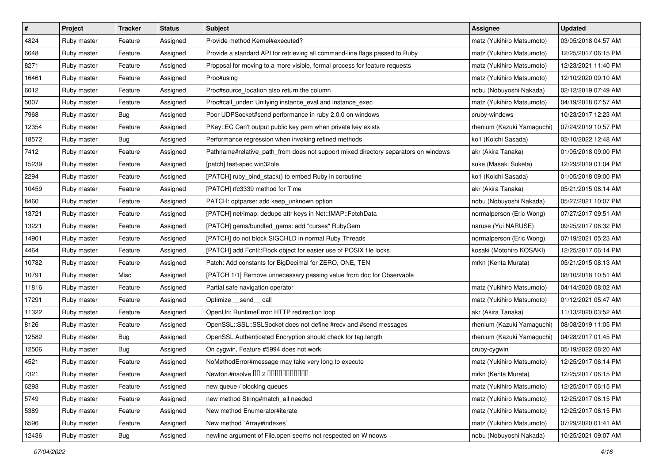| #     | Project     | <b>Tracker</b> | <b>Status</b> | <b>Subject</b>                                                                     | Assignee                   | <b>Updated</b>      |
|-------|-------------|----------------|---------------|------------------------------------------------------------------------------------|----------------------------|---------------------|
| 4824  | Ruby master | Feature        | Assigned      | Provide method Kernel#executed?                                                    | matz (Yukihiro Matsumoto)  | 03/05/2018 04:57 AM |
| 6648  | Ruby master | Feature        | Assigned      | Provide a standard API for retrieving all command-line flags passed to Ruby        | matz (Yukihiro Matsumoto)  | 12/25/2017 06:15 PM |
| 8271  | Ruby master | Feature        | Assigned      | Proposal for moving to a more visible, formal process for feature requests         | matz (Yukihiro Matsumoto)  | 12/23/2021 11:40 PM |
| 16461 | Ruby master | Feature        | Assigned      | Proc#using                                                                         | matz (Yukihiro Matsumoto)  | 12/10/2020 09:10 AM |
| 6012  | Ruby master | Feature        | Assigned      | Proc#source location also return the column                                        | nobu (Nobuyoshi Nakada)    | 02/12/2019 07:49 AM |
| 5007  | Ruby master | Feature        | Assigned      | Proc#call_under: Unifying instance_eval and instance_exec                          | matz (Yukihiro Matsumoto)  | 04/19/2018 07:57 AM |
| 7968  | Ruby master | Bug            | Assigned      | Poor UDPSocket#send performance in ruby 2.0.0 on windows                           | cruby-windows              | 10/23/2017 12:23 AM |
| 12354 | Ruby master | Feature        | Assigned      | PKey::EC Can't output public key pem when private key exists                       | rhenium (Kazuki Yamaguchi) | 07/24/2019 10:57 PM |
| 18572 | Ruby master | Bug            | Assigned      | Performance regression when invoking refined methods                               | ko1 (Koichi Sasada)        | 02/10/2022 12:48 AM |
| 7412  | Ruby master | Feature        | Assigned      | Pathname#relative_path_from does not support mixed directory separators on windows | akr (Akira Tanaka)         | 01/05/2018 09:00 PM |
| 15239 | Ruby master | Feature        | Assigned      | [patch] test-spec win32ole                                                         | suke (Masaki Suketa)       | 12/29/2019 01:04 PM |
| 2294  | Ruby master | Feature        | Assigned      | [PATCH] ruby_bind_stack() to embed Ruby in coroutine                               | ko1 (Koichi Sasada)        | 01/05/2018 09:00 PM |
| 10459 | Ruby master | Feature        | Assigned      | [PATCH] rfc3339 method for Time                                                    | akr (Akira Tanaka)         | 05/21/2015 08:14 AM |
| 8460  | Ruby master | Feature        | Assigned      | PATCH: optparse: add keep_unknown option                                           | nobu (Nobuyoshi Nakada)    | 05/27/2021 10:07 PM |
| 13721 | Ruby master | Feature        | Assigned      | [PATCH] net/imap: dedupe attr keys in Net::IMAP::FetchData                         | normalperson (Eric Wong)   | 07/27/2017 09:51 AM |
| 13221 | Ruby master | Feature        | Assigned      | [PATCH] gems/bundled_gems: add "curses" RubyGem                                    | naruse (Yui NARUSE)        | 09/25/2017 06:32 PM |
| 14901 | Ruby master | Feature        | Assigned      | [PATCH] do not block SIGCHLD in normal Ruby Threads                                | normalperson (Eric Wong)   | 07/19/2021 05:23 AM |
| 4464  | Ruby master | Feature        | Assigned      | [PATCH] add Fcntl::Flock object for easier use of POSIX file locks                 | kosaki (Motohiro KOSAKI)   | 12/25/2017 06:14 PM |
| 10782 | Ruby master | Feature        | Assigned      | Patch: Add constants for BigDecimal for ZERO, ONE, TEN                             | mrkn (Kenta Murata)        | 05/21/2015 08:13 AM |
| 10791 | Ruby master | Misc           | Assigned      | [PATCH 1/1] Remove unnecessary passing value from doc for Observable               |                            | 08/10/2018 10:51 AM |
| 11816 | Ruby master | Feature        | Assigned      | Partial safe navigation operator                                                   | matz (Yukihiro Matsumoto)  | 04/14/2020 08:02 AM |
| 17291 | Ruby master | Feature        | Assigned      | Optimize __send__ call                                                             | matz (Yukihiro Matsumoto)  | 01/12/2021 05:47 AM |
| 11322 | Ruby master | Feature        | Assigned      | OpenUri: RuntimeError: HTTP redirection loop                                       | akr (Akira Tanaka)         | 11/13/2020 03:52 AM |
| 8126  | Ruby master | Feature        | Assigned      | OpenSSL::SSL:SSLSocket does not define #recv and #send messages                    | rhenium (Kazuki Yamaguchi) | 08/08/2019 11:05 PM |
| 12582 | Ruby master | Bug            | Assigned      | OpenSSL Authenticated Encryption should check for tag length                       | rhenium (Kazuki Yamaguchi) | 04/28/2017 01:45 PM |
| 12506 | Ruby master | <b>Bug</b>     | Assigned      | On cygwin, Feature #5994 does not work                                             | cruby-cygwin               | 05/19/2022 08:20 AM |
| 4521  | Ruby master | Feature        | Assigned      | NoMethodError#message may take very long to execute                                | matz (Yukihiro Matsumoto)  | 12/25/2017 06:14 PM |
| 7321  | Ruby master | Feature        | Assigned      | Newton.#nsolve 00 2 00000000000                                                    | mrkn (Kenta Murata)        | 12/25/2017 06:15 PM |
| 6293  | Ruby master | Feature        | Assigned      | new queue / blocking queues                                                        | matz (Yukihiro Matsumoto)  | 12/25/2017 06:15 PM |
| 5749  | Ruby master | Feature        | Assigned      | new method String#match_all needed                                                 | matz (Yukihiro Matsumoto)  | 12/25/2017 06:15 PM |
| 5389  | Ruby master | Feature        | Assigned      | New method Enumerator#iterate                                                      | matz (Yukihiro Matsumoto)  | 12/25/2017 06:15 PM |
| 6596  | Ruby master | Feature        | Assigned      | New method `Array#indexes`                                                         | matz (Yukihiro Matsumoto)  | 07/29/2020 01:41 AM |
| 12436 | Ruby master | Bug            | Assigned      | newline argument of File.open seems not respected on Windows                       | nobu (Nobuyoshi Nakada)    | 10/25/2021 09:07 AM |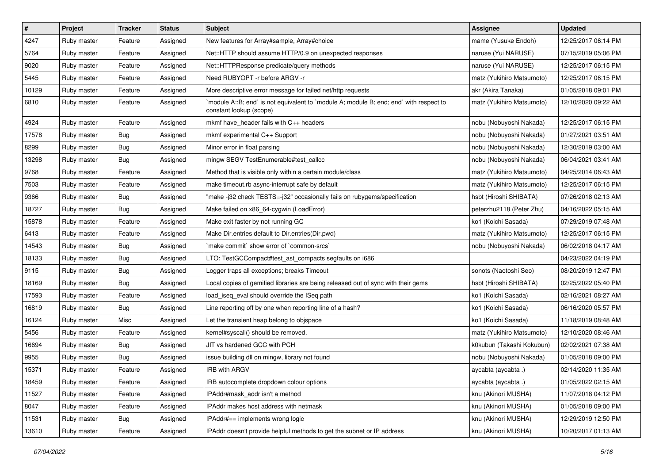| $\vert$ # | Project     | <b>Tracker</b> | <b>Status</b> | <b>Subject</b>                                                                                                    | <b>Assignee</b>           | <b>Updated</b>      |
|-----------|-------------|----------------|---------------|-------------------------------------------------------------------------------------------------------------------|---------------------------|---------------------|
| 4247      | Ruby master | Feature        | Assigned      | New features for Array#sample, Array#choice                                                                       | mame (Yusuke Endoh)       | 12/25/2017 06:14 PM |
| 5764      | Ruby master | Feature        | Assigned      | Net::HTTP should assume HTTP/0.9 on unexpected responses                                                          | naruse (Yui NARUSE)       | 07/15/2019 05:06 PM |
| 9020      | Ruby master | Feature        | Assigned      | Net::HTTPResponse predicate/query methods                                                                         | naruse (Yui NARUSE)       | 12/25/2017 06:15 PM |
| 5445      | Ruby master | Feature        | Assigned      | Need RUBYOPT - r before ARGV - r                                                                                  | matz (Yukihiro Matsumoto) | 12/25/2017 06:15 PM |
| 10129     | Ruby master | Feature        | Assigned      | More descriptive error message for failed net/http requests                                                       | akr (Akira Tanaka)        | 01/05/2018 09:01 PM |
| 6810      | Ruby master | Feature        | Assigned      | `module A::B; end` is not equivalent to `module A; module B; end; end` with respect to<br>constant lookup (scope) | matz (Yukihiro Matsumoto) | 12/10/2020 09:22 AM |
| 4924      | Ruby master | Feature        | Assigned      | mkmf have_header fails with C++ headers                                                                           | nobu (Nobuyoshi Nakada)   | 12/25/2017 06:15 PM |
| 17578     | Ruby master | <b>Bug</b>     | Assigned      | mkmf experimental C++ Support                                                                                     | nobu (Nobuyoshi Nakada)   | 01/27/2021 03:51 AM |
| 8299      | Ruby master | <b>Bug</b>     | Assigned      | Minor error in float parsing                                                                                      | nobu (Nobuyoshi Nakada)   | 12/30/2019 03:00 AM |
| 13298     | Ruby master | Bug            | Assigned      | mingw SEGV TestEnumerable#test_callcc                                                                             | nobu (Nobuyoshi Nakada)   | 06/04/2021 03:41 AM |
| 9768      | Ruby master | Feature        | Assigned      | Method that is visible only within a certain module/class                                                         | matz (Yukihiro Matsumoto) | 04/25/2014 06:43 AM |
| 7503      | Ruby master | Feature        | Assigned      | make timeout.rb async-interrupt safe by default                                                                   | matz (Yukihiro Matsumoto) | 12/25/2017 06:15 PM |
| 9366      | Ruby master | <b>Bug</b>     | Assigned      | "make -j32 check TESTS=-j32" occasionally fails on rubygems/specification                                         | hsbt (Hiroshi SHIBATA)    | 07/26/2018 02:13 AM |
| 18727     | Ruby master | Bug            | Assigned      | Make failed on x86_64-cygwin (LoadError)                                                                          | peterzhu2118 (Peter Zhu)  | 04/16/2022 05:15 AM |
| 15878     | Ruby master | Feature        | Assigned      | Make exit faster by not running GC                                                                                | ko1 (Koichi Sasada)       | 07/29/2019 07:48 AM |
| 6413      | Ruby master | Feature        | Assigned      | Make Dir.entries default to Dir.entries (Dir.pwd)                                                                 | matz (Yukihiro Matsumoto) | 12/25/2017 06:15 PM |
| 14543     | Ruby master | Bug            | Assigned      | `make commit` show error of `common-srcs`                                                                         | nobu (Nobuyoshi Nakada)   | 06/02/2018 04:17 AM |
| 18133     | Ruby master | <b>Bug</b>     | Assigned      | LTO: TestGCCompact#test ast compacts segfaults on i686                                                            |                           | 04/23/2022 04:19 PM |
| 9115      | Ruby master | <b>Bug</b>     | Assigned      | Logger traps all exceptions; breaks Timeout                                                                       | sonots (Naotoshi Seo)     | 08/20/2019 12:47 PM |
| 18169     | Ruby master | <b>Bug</b>     | Assigned      | Local copies of gemified libraries are being released out of sync with their gems                                 | hsbt (Hiroshi SHIBATA)    | 02/25/2022 05:40 PM |
| 17593     | Ruby master | Feature        | Assigned      | load_iseq_eval should override the ISeq path                                                                      | ko1 (Koichi Sasada)       | 02/16/2021 08:27 AM |
| 16819     | Ruby master | <b>Bug</b>     | Assigned      | Line reporting off by one when reporting line of a hash?                                                          | ko1 (Koichi Sasada)       | 06/16/2020 05:57 PM |
| 16124     | Ruby master | Misc           | Assigned      | Let the transient heap belong to objspace                                                                         | ko1 (Koichi Sasada)       | 11/18/2019 08:48 AM |
| 5456      | Ruby master | Feature        | Assigned      | kernel#syscall() should be removed.                                                                               | matz (Yukihiro Matsumoto) | 12/10/2020 08:46 AM |
| 16694     | Ruby master | <b>Bug</b>     | Assigned      | JIT vs hardened GCC with PCH                                                                                      | k0kubun (Takashi Kokubun) | 02/02/2021 07:38 AM |
| 9955      | Ruby master | <b>Bug</b>     | Assigned      | issue building dll on mingw, library not found                                                                    | nobu (Nobuyoshi Nakada)   | 01/05/2018 09:00 PM |
| 15371     | Ruby master | Feature        | Assigned      | <b>IRB with ARGV</b>                                                                                              | aycabta (aycabta.)        | 02/14/2020 11:35 AM |
| 18459     | Ruby master | Feature        | Assigned      | IRB autocomplete dropdown colour options                                                                          | aycabta (aycabta.)        | 01/05/2022 02:15 AM |
| 11527     | Ruby master | Feature        | Assigned      | IPAddr#mask_addr isn't a method                                                                                   | knu (Akinori MUSHA)       | 11/07/2018 04:12 PM |
| 8047      | Ruby master | Feature        | Assigned      | IPAddr makes host address with netmask                                                                            | knu (Akinori MUSHA)       | 01/05/2018 09:00 PM |
| 11531     | Ruby master | <b>Bug</b>     | Assigned      | IPAddr#== implements wrong logic                                                                                  | knu (Akinori MUSHA)       | 12/29/2019 12:50 PM |
| 13610     | Ruby master | Feature        | Assigned      | IPAddr doesn't provide helpful methods to get the subnet or IP address                                            | knu (Akinori MUSHA)       | 10/20/2017 01:13 AM |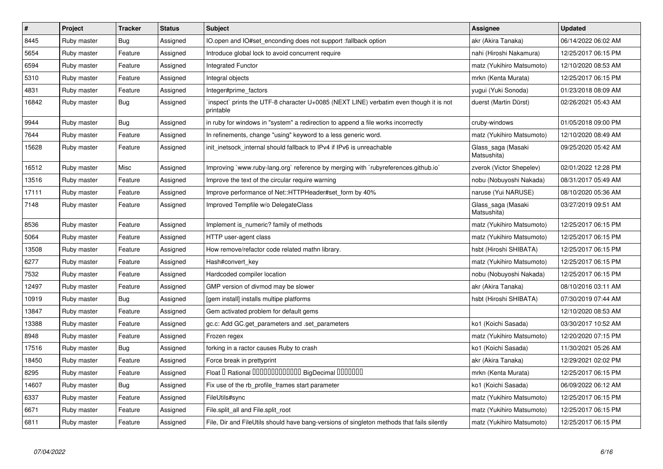| $\vert$ # | Project     | <b>Tracker</b> | <b>Status</b> | <b>Subject</b>                                                                                     | Assignee                          | <b>Updated</b>      |
|-----------|-------------|----------------|---------------|----------------------------------------------------------------------------------------------------|-----------------------------------|---------------------|
| 8445      | Ruby master | <b>Bug</b>     | Assigned      | IO.open and IO#set enconding does not support :fallback option                                     | akr (Akira Tanaka)                | 06/14/2022 06:02 AM |
| 5654      | Ruby master | Feature        | Assigned      | Introduce global lock to avoid concurrent require                                                  | nahi (Hiroshi Nakamura)           | 12/25/2017 06:15 PM |
| 6594      | Ruby master | Feature        | Assigned      | <b>Integrated Functor</b>                                                                          | matz (Yukihiro Matsumoto)         | 12/10/2020 08:53 AM |
| 5310      | Ruby master | Feature        | Assigned      | Integral objects                                                                                   | mrkn (Kenta Murata)               | 12/25/2017 06:15 PM |
| 4831      | Ruby master | Feature        | Assigned      | Integer#prime_factors                                                                              | yugui (Yuki Sonoda)               | 01/23/2018 08:09 AM |
| 16842     | Ruby master | Bug            | Assigned      | inspect` prints the UTF-8 character U+0085 (NEXT LINE) verbatim even though it is not<br>printable | duerst (Martin Dürst)             | 02/26/2021 05:43 AM |
| 9944      | Ruby master | <b>Bug</b>     | Assigned      | in ruby for windows in "system" a redirection to append a file works incorrectly                   | cruby-windows                     | 01/05/2018 09:00 PM |
| 7644      | Ruby master | Feature        | Assigned      | In refinements, change "using" keyword to a less generic word.                                     | matz (Yukihiro Matsumoto)         | 12/10/2020 08:49 AM |
| 15628     | Ruby master | Feature        | Assigned      | init inetsock internal should fallback to IPv4 if IPv6 is unreachable                              | Glass saga (Masaki<br>Matsushita) | 09/25/2020 05:42 AM |
| 16512     | Ruby master | Misc           | Assigned      | Improving `www.ruby-lang.org` reference by merging with `rubyreferences.github.io`                 | zverok (Victor Shepelev)          | 02/01/2022 12:28 PM |
| 13516     | Ruby master | Feature        | Assigned      | Improve the text of the circular require warning                                                   | nobu (Nobuyoshi Nakada)           | 08/31/2017 05:49 AM |
| 17111     | Ruby master | Feature        | Assigned      | Improve performance of Net::HTTPHeader#set form by 40%                                             | naruse (Yui NARUSE)               | 08/10/2020 05:36 AM |
| 7148      | Ruby master | Feature        | Assigned      | Improved Tempfile w/o DelegateClass                                                                | Glass_saga (Masaki<br>Matsushita) | 03/27/2019 09:51 AM |
| 8536      | Ruby master | Feature        | Assigned      | Implement is_numeric? family of methods                                                            | matz (Yukihiro Matsumoto)         | 12/25/2017 06:15 PM |
| 5064      | Ruby master | Feature        | Assigned      | HTTP user-agent class                                                                              | matz (Yukihiro Matsumoto)         | 12/25/2017 06:15 PM |
| 13508     | Ruby master | Feature        | Assigned      | How remove/refactor code related mathn library.                                                    | hsbt (Hiroshi SHIBATA)            | 12/25/2017 06:15 PM |
| 6277      | Ruby master | Feature        | Assigned      | Hash#convert key                                                                                   | matz (Yukihiro Matsumoto)         | 12/25/2017 06:15 PM |
| 7532      | Ruby master | Feature        | Assigned      | Hardcoded compiler location                                                                        | nobu (Nobuyoshi Nakada)           | 12/25/2017 06:15 PM |
| 12497     | Ruby master | Feature        | Assigned      | GMP version of divmod may be slower                                                                | akr (Akira Tanaka)                | 08/10/2016 03:11 AM |
| 10919     | Ruby master | Bug            | Assigned      | gem install] installs multipe platforms                                                            | hsbt (Hiroshi SHIBATA)            | 07/30/2019 07:44 AM |
| 13847     | Ruby master | Feature        | Assigned      | Gem activated problem for default gems                                                             |                                   | 12/10/2020 08:53 AM |
| 13388     | Ruby master | Feature        | Assigned      | gc.c: Add GC.get parameters and set parameters                                                     | ko1 (Koichi Sasada)               | 03/30/2017 10:52 AM |
| 8948      | Ruby master | Feature        | Assigned      | Frozen regex                                                                                       | matz (Yukihiro Matsumoto)         | 12/20/2020 07:15 PM |
| 17516     | Ruby master | Bug            | Assigned      | forking in a ractor causes Ruby to crash                                                           | ko1 (Koichi Sasada)               | 11/30/2021 05:26 AM |
| 18450     | Ruby master | Feature        | Assigned      | Force break in prettyprint                                                                         | akr (Akira Tanaka)                | 12/29/2021 02:02 PM |
| 8295      | Ruby master | Feature        | Assigned      | Float I Rational 0000000000000 BigDecimal 0000000                                                  | mrkn (Kenta Murata)               | 12/25/2017 06:15 PM |
| 14607     | Ruby master | Bug            | Assigned      | Fix use of the rb_profile_frames start parameter                                                   | ko1 (Koichi Sasada)               | 06/09/2022 06:12 AM |
| 6337      | Ruby master | Feature        | Assigned      | FileUtils#sync                                                                                     | matz (Yukihiro Matsumoto)         | 12/25/2017 06:15 PM |
| 6671      | Ruby master | Feature        | Assigned      | File.split all and File.split root                                                                 | matz (Yukihiro Matsumoto)         | 12/25/2017 06:15 PM |
| 6811      | Ruby master | Feature        | Assigned      | File, Dir and FileUtils should have bang-versions of singleton methods that fails silently         | matz (Yukihiro Matsumoto)         | 12/25/2017 06:15 PM |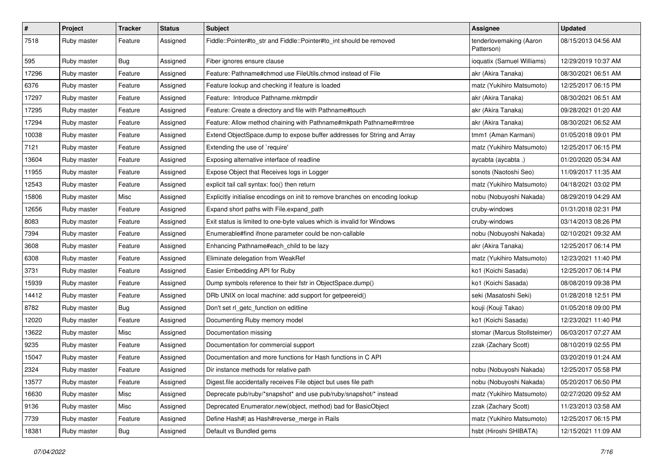| $\sharp$ | Project     | <b>Tracker</b> | <b>Status</b> | <b>Subject</b>                                                                | <b>Assignee</b>                       | <b>Updated</b>      |
|----------|-------------|----------------|---------------|-------------------------------------------------------------------------------|---------------------------------------|---------------------|
| 7518     | Ruby master | Feature        | Assigned      | Fiddle::Pointer#to_str and Fiddle::Pointer#to_int should be removed           | tenderlovemaking (Aaron<br>Patterson) | 08/15/2013 04:56 AM |
| 595      | Ruby master | Bug            | Assigned      | Fiber ignores ensure clause                                                   | ioquatix (Samuel Williams)            | 12/29/2019 10:37 AM |
| 17296    | Ruby master | Feature        | Assigned      | Feature: Pathname#chmod use FileUtils.chmod instead of File                   | akr (Akira Tanaka)                    | 08/30/2021 06:51 AM |
| 6376     | Ruby master | Feature        | Assigned      | Feature lookup and checking if feature is loaded                              | matz (Yukihiro Matsumoto)             | 12/25/2017 06:15 PM |
| 17297    | Ruby master | Feature        | Assigned      | Feature: Introduce Pathname.mktmpdir                                          | akr (Akira Tanaka)                    | 08/30/2021 06:51 AM |
| 17295    | Ruby master | Feature        | Assigned      | Feature: Create a directory and file with Pathname#touch                      | akr (Akira Tanaka)                    | 09/28/2021 01:20 AM |
| 17294    | Ruby master | Feature        | Assigned      | Feature: Allow method chaining with Pathname#mkpath Pathname#rmtree           | akr (Akira Tanaka)                    | 08/30/2021 06:52 AM |
| 10038    | Ruby master | Feature        | Assigned      | Extend ObjectSpace.dump to expose buffer addresses for String and Array       | tmm1 (Aman Karmani)                   | 01/05/2018 09:01 PM |
| 7121     | Ruby master | Feature        | Assigned      | Extending the use of `require'                                                | matz (Yukihiro Matsumoto)             | 12/25/2017 06:15 PM |
| 13604    | Ruby master | Feature        | Assigned      | Exposing alternative interface of readline                                    | aycabta (aycabta.)                    | 01/20/2020 05:34 AM |
| 11955    | Ruby master | Feature        | Assigned      | Expose Object that Receives logs in Logger                                    | sonots (Naotoshi Seo)                 | 11/09/2017 11:35 AM |
| 12543    | Ruby master | Feature        | Assigned      | explicit tail call syntax: foo() then return                                  | matz (Yukihiro Matsumoto)             | 04/18/2021 03:02 PM |
| 15806    | Ruby master | Misc           | Assigned      | Explicitly initialise encodings on init to remove branches on encoding lookup | nobu (Nobuyoshi Nakada)               | 08/29/2019 04:29 AM |
| 12656    | Ruby master | Feature        | Assigned      | Expand short paths with File.expand_path                                      | cruby-windows                         | 01/31/2018 02:31 PM |
| 8083     | Ruby master | Feature        | Assigned      | Exit status is limited to one-byte values which is invalid for Windows        | cruby-windows                         | 03/14/2013 08:26 PM |
| 7394     | Ruby master | Feature        | Assigned      | Enumerable#find ifnone parameter could be non-callable                        | nobu (Nobuyoshi Nakada)               | 02/10/2021 09:32 AM |
| 3608     | Ruby master | Feature        | Assigned      | Enhancing Pathname#each_child to be lazy                                      | akr (Akira Tanaka)                    | 12/25/2017 06:14 PM |
| 6308     | Ruby master | Feature        | Assigned      | Eliminate delegation from WeakRef                                             | matz (Yukihiro Matsumoto)             | 12/23/2021 11:40 PM |
| 3731     | Ruby master | Feature        | Assigned      | Easier Embedding API for Ruby                                                 | ko1 (Koichi Sasada)                   | 12/25/2017 06:14 PM |
| 15939    | Ruby master | Feature        | Assigned      | Dump symbols reference to their fstr in ObjectSpace.dump()                    | ko1 (Koichi Sasada)                   | 08/08/2019 09:38 PM |
| 14412    | Ruby master | Feature        | Assigned      | DRb UNIX on local machine: add support for getpeereid()                       | seki (Masatoshi Seki)                 | 01/28/2018 12:51 PM |
| 8782     | Ruby master | Bug            | Assigned      | Don't set rl_getc_function on editline                                        | kouji (Kouji Takao)                   | 01/05/2018 09:00 PM |
| 12020    | Ruby master | Feature        | Assigned      | Documenting Ruby memory model                                                 | ko1 (Koichi Sasada)                   | 12/23/2021 11:40 PM |
| 13622    | Ruby master | Misc           | Assigned      | Documentation missing                                                         | stomar (Marcus Stollsteimer)          | 06/03/2017 07:27 AM |
| 9235     | Ruby master | Feature        | Assigned      | Documentation for commercial support                                          | zzak (Zachary Scott)                  | 08/10/2019 02:55 PM |
| 15047    | Ruby master | Feature        | Assigned      | Documentation and more functions for Hash functions in C API                  |                                       | 03/20/2019 01:24 AM |
| 2324     | Ruby master | Feature        | Assigned      | Dir instance methods for relative path                                        | nobu (Nobuyoshi Nakada)               | 12/25/2017 05:58 PM |
| 13577    | Ruby master | Feature        | Assigned      | Digest file accidentally receives File object but uses file path              | nobu (Nobuyoshi Nakada)               | 05/20/2017 06:50 PM |
| 16630    | Ruby master | Misc           | Assigned      | Deprecate pub/ruby/*snapshot* and use pub/ruby/snapshot/* instead             | matz (Yukihiro Matsumoto)             | 02/27/2020 09:52 AM |
| 9136     | Ruby master | Misc           | Assigned      | Deprecated Enumerator.new(object, method) bad for BasicObject                 | zzak (Zachary Scott)                  | 11/23/2013 03:58 AM |
| 7739     | Ruby master | Feature        | Assigned      | Define Hash#  as Hash#reverse_merge in Rails                                  | matz (Yukihiro Matsumoto)             | 12/25/2017 06:15 PM |
| 18381    | Ruby master | Bug            | Assigned      | Default vs Bundled gems                                                       | hsbt (Hiroshi SHIBATA)                | 12/15/2021 11:09 AM |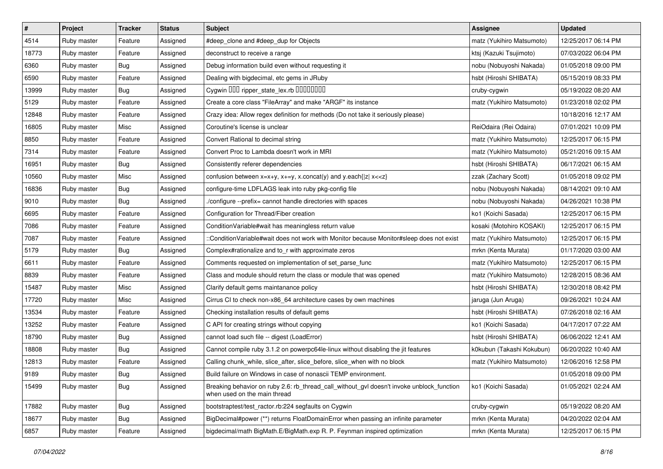| $\sharp$ | Project     | <b>Tracker</b> | <b>Status</b> | <b>Subject</b>                                                                                                                                   | Assignee                  | <b>Updated</b>      |
|----------|-------------|----------------|---------------|--------------------------------------------------------------------------------------------------------------------------------------------------|---------------------------|---------------------|
| 4514     | Ruby master | Feature        | Assigned      | #deep_clone and #deep_dup for Objects                                                                                                            | matz (Yukihiro Matsumoto) | 12/25/2017 06:14 PM |
| 18773    | Ruby master | Feature        | Assigned      | deconstruct to receive a range                                                                                                                   | ktsj (Kazuki Tsujimoto)   | 07/03/2022 06:04 PM |
| 6360     | Ruby master | Bug            | Assigned      | Debug information build even without requesting it                                                                                               | nobu (Nobuyoshi Nakada)   | 01/05/2018 09:00 PM |
| 6590     | Ruby master | Feature        | Assigned      | Dealing with bigdecimal, etc gems in JRuby                                                                                                       | hsbt (Hiroshi SHIBATA)    | 05/15/2019 08:33 PM |
| 13999    | Ruby master | <b>Bug</b>     | Assigned      | Cygwin DDD ripper_state_lex.rb DDDDDDDD                                                                                                          | cruby-cygwin              | 05/19/2022 08:20 AM |
| 5129     | Ruby master | Feature        | Assigned      | Create a core class "FileArray" and make "ARGF" its instance                                                                                     | matz (Yukihiro Matsumoto) | 01/23/2018 02:02 PM |
| 12848    | Ruby master | Feature        | Assigned      | Crazy idea: Allow regex definition for methods (Do not take it seriously please)                                                                 |                           | 10/18/2016 12:17 AM |
| 16805    | Ruby master | Misc           | Assigned      | Coroutine's license is unclear                                                                                                                   | ReiOdaira (Rei Odaira)    | 07/01/2021 10:09 PM |
| 8850     | Ruby master | Feature        | Assigned      | Convert Rational to decimal string                                                                                                               | matz (Yukihiro Matsumoto) | 12/25/2017 06:15 PM |
| 7314     | Ruby master | Feature        | Assigned      | Convert Proc to Lambda doesn't work in MRI                                                                                                       | matz (Yukihiro Matsumoto) | 05/21/2016 09:15 AM |
| 16951    | Ruby master | Bug            | Assigned      | Consistently referer dependencies                                                                                                                | hsbt (Hiroshi SHIBATA)    | 06/17/2021 06:15 AM |
| 10560    | Ruby master | Misc           | Assigned      | confusion between $x=x+y$ , $x+=y$ , x.concat(y) and y.each{ $ z $ x< <z}< td=""><td>zzak (Zachary Scott)</td><td>01/05/2018 09:02 PM</td></z}<> | zzak (Zachary Scott)      | 01/05/2018 09:02 PM |
| 16836    | Ruby master | <b>Bug</b>     | Assigned      | configure-time LDFLAGS leak into ruby pkg-config file                                                                                            | nobu (Nobuyoshi Nakada)   | 08/14/2021 09:10 AM |
| 9010     | Ruby master | <b>Bug</b>     | Assigned      | /configure --prefix= cannot handle directories with spaces                                                                                       | nobu (Nobuyoshi Nakada)   | 04/26/2021 10:38 PM |
| 6695     | Ruby master | Feature        | Assigned      | Configuration for Thread/Fiber creation                                                                                                          | ko1 (Koichi Sasada)       | 12/25/2017 06:15 PM |
| 7086     | Ruby master | Feature        | Assigned      | ConditionVariable#wait has meaningless return value                                                                                              | kosaki (Motohiro KOSAKI)  | 12/25/2017 06:15 PM |
| 7087     | Ruby master | Feature        | Assigned      | ::ConditionVariable#wait does not work with Monitor because Monitor#sleep does not exist                                                         | matz (Yukihiro Matsumoto) | 12/25/2017 06:15 PM |
| 5179     | Ruby master | Bug            | Assigned      | Complex#rationalize and to_r with approximate zeros                                                                                              | mrkn (Kenta Murata)       | 01/17/2020 03:00 AM |
| 6611     | Ruby master | Feature        | Assigned      | Comments requested on implementation of set_parse_func                                                                                           | matz (Yukihiro Matsumoto) | 12/25/2017 06:15 PM |
| 8839     | Ruby master | Feature        | Assigned      | Class and module should return the class or module that was opened                                                                               | matz (Yukihiro Matsumoto) | 12/28/2015 08:36 AM |
| 15487    | Ruby master | Misc           | Assigned      | Clarify default gems maintanance policy                                                                                                          | hsbt (Hiroshi SHIBATA)    | 12/30/2018 08:42 PM |
| 17720    | Ruby master | Misc           | Assigned      | Cirrus CI to check non-x86_64 architecture cases by own machines                                                                                 | jaruga (Jun Aruga)        | 09/26/2021 10:24 AM |
| 13534    | Ruby master | Feature        | Assigned      | Checking installation results of default gems                                                                                                    | hsbt (Hiroshi SHIBATA)    | 07/26/2018 02:16 AM |
| 13252    | Ruby master | Feature        | Assigned      | C API for creating strings without copying                                                                                                       | ko1 (Koichi Sasada)       | 04/17/2017 07:22 AM |
| 18790    | Ruby master | Bug            | Assigned      | cannot load such file -- digest (LoadError)                                                                                                      | hsbt (Hiroshi SHIBATA)    | 06/06/2022 12:41 AM |
| 18808    | Ruby master | <b>Bug</b>     | Assigned      | Cannot compile ruby 3.1.2 on powerpc64le-linux without disabling the jit features                                                                | k0kubun (Takashi Kokubun) | 06/20/2022 10:40 AM |
| 12813    | Ruby master | Feature        | Assigned      | Calling chunk_while, slice_after, slice_before, slice_when with no block                                                                         | matz (Yukihiro Matsumoto) | 12/06/2016 12:58 PM |
| 9189     | Ruby master | Bug            | Assigned      | Build failure on Windows in case of nonascii TEMP environment.                                                                                   |                           | 01/05/2018 09:00 PM |
| 15499    | Ruby master | Bug            | Assigned      | Breaking behavior on ruby 2.6: rb_thread_call_without_gvl doesn't invoke unblock_function<br>when used on the main thread                        | ko1 (Koichi Sasada)       | 01/05/2021 02:24 AM |
| 17882    | Ruby master | Bug            | Assigned      | bootstraptest/test_ractor.rb:224 segfaults on Cygwin                                                                                             | cruby-cygwin              | 05/19/2022 08:20 AM |
| 18677    | Ruby master | <b>Bug</b>     | Assigned      | BigDecimal#power (**) returns FloatDomainError when passing an infinite parameter                                                                | mrkn (Kenta Murata)       | 04/20/2022 02:04 AM |
| 6857     | Ruby master | Feature        | Assigned      | bigdecimal/math BigMath.E/BigMath.exp R. P. Feynman inspired optimization                                                                        | mrkn (Kenta Murata)       | 12/25/2017 06:15 PM |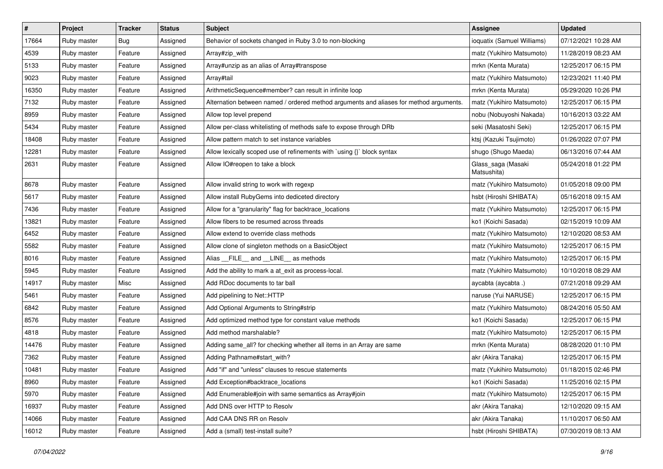| $\sharp$ | Project     | <b>Tracker</b> | <b>Status</b> | <b>Subject</b>                                                                         | <b>Assignee</b>                   | <b>Updated</b>      |
|----------|-------------|----------------|---------------|----------------------------------------------------------------------------------------|-----------------------------------|---------------------|
| 17664    | Ruby master | <b>Bug</b>     | Assigned      | Behavior of sockets changed in Ruby 3.0 to non-blocking                                | ioquatix (Samuel Williams)        | 07/12/2021 10:28 AM |
| 4539     | Ruby master | Feature        | Assigned      | Array#zip_with                                                                         | matz (Yukihiro Matsumoto)         | 11/28/2019 08:23 AM |
| 5133     | Ruby master | Feature        | Assigned      | Array#unzip as an alias of Array#transpose                                             | mrkn (Kenta Murata)               | 12/25/2017 06:15 PM |
| 9023     | Ruby master | Feature        | Assigned      | Array#tail                                                                             | matz (Yukihiro Matsumoto)         | 12/23/2021 11:40 PM |
| 16350    | Ruby master | Feature        | Assigned      | ArithmeticSequence#member? can result in infinite loop                                 | mrkn (Kenta Murata)               | 05/29/2020 10:26 PM |
| 7132     | Ruby master | Feature        | Assigned      | Alternation between named / ordered method arguments and aliases for method arguments. | matz (Yukihiro Matsumoto)         | 12/25/2017 06:15 PM |
| 8959     | Ruby master | Feature        | Assigned      | Allow top level prepend                                                                | nobu (Nobuyoshi Nakada)           | 10/16/2013 03:22 AM |
| 5434     | Ruby master | Feature        | Assigned      | Allow per-class whitelisting of methods safe to expose through DRb                     | seki (Masatoshi Seki)             | 12/25/2017 06:15 PM |
| 18408    | Ruby master | Feature        | Assigned      | Allow pattern match to set instance variables                                          | ktsj (Kazuki Tsujimoto)           | 01/26/2022 07:07 PM |
| 12281    | Ruby master | Feature        | Assigned      | Allow lexically scoped use of refinements with `using {}` block syntax                 | shugo (Shugo Maeda)               | 06/13/2016 07:44 AM |
| 2631     | Ruby master | Feature        | Assigned      | Allow IO#reopen to take a block                                                        | Glass_saga (Masaki<br>Matsushita) | 05/24/2018 01:22 PM |
| 8678     | Ruby master | Feature        | Assigned      | Allow invalid string to work with regexp                                               | matz (Yukihiro Matsumoto)         | 01/05/2018 09:00 PM |
| 5617     | Ruby master | Feature        | Assigned      | Allow install RubyGems into dediceted directory                                        | hsbt (Hiroshi SHIBATA)            | 05/16/2018 09:15 AM |
| 7436     | Ruby master | Feature        | Assigned      | Allow for a "granularity" flag for backtrace_locations                                 | matz (Yukihiro Matsumoto)         | 12/25/2017 06:15 PM |
| 13821    | Ruby master | Feature        | Assigned      | Allow fibers to be resumed across threads                                              | ko1 (Koichi Sasada)               | 02/15/2019 10:09 AM |
| 6452     | Ruby master | Feature        | Assigned      | Allow extend to override class methods                                                 | matz (Yukihiro Matsumoto)         | 12/10/2020 08:53 AM |
| 5582     | Ruby master | Feature        | Assigned      | Allow clone of singleton methods on a BasicObject                                      | matz (Yukihiro Matsumoto)         | 12/25/2017 06:15 PM |
| 8016     | Ruby master | Feature        | Assigned      | Alias __FILE__ and __LINE__ as methods                                                 | matz (Yukihiro Matsumoto)         | 12/25/2017 06:15 PM |
| 5945     | Ruby master | Feature        | Assigned      | Add the ability to mark a at_exit as process-local.                                    | matz (Yukihiro Matsumoto)         | 10/10/2018 08:29 AM |
| 14917    | Ruby master | Misc           | Assigned      | Add RDoc documents to tar ball                                                         | aycabta (aycabta.)                | 07/21/2018 09:29 AM |
| 5461     | Ruby master | Feature        | Assigned      | Add pipelining to Net::HTTP                                                            | naruse (Yui NARUSE)               | 12/25/2017 06:15 PM |
| 6842     | Ruby master | Feature        | Assigned      | Add Optional Arguments to String#strip                                                 | matz (Yukihiro Matsumoto)         | 08/24/2016 05:50 AM |
| 8576     | Ruby master | Feature        | Assigned      | Add optimized method type for constant value methods                                   | ko1 (Koichi Sasada)               | 12/25/2017 06:15 PM |
| 4818     | Ruby master | Feature        | Assigned      | Add method marshalable?                                                                | matz (Yukihiro Matsumoto)         | 12/25/2017 06:15 PM |
| 14476    | Ruby master | Feature        | Assigned      | Adding same_all? for checking whether all items in an Array are same                   | mrkn (Kenta Murata)               | 08/28/2020 01:10 PM |
| 7362     | Ruby master | Feature        | Assigned      | Adding Pathname#start_with?                                                            | akr (Akira Tanaka)                | 12/25/2017 06:15 PM |
| 10481    | Ruby master | Feature        | Assigned      | Add "if" and "unless" clauses to rescue statements                                     | matz (Yukihiro Matsumoto)         | 01/18/2015 02:46 PM |
| 8960     | Ruby master | Feature        | Assigned      | Add Exception#backtrace locations                                                      | ko1 (Koichi Sasada)               | 11/25/2016 02:15 PM |
| 5970     | Ruby master | Feature        | Assigned      | Add Enumerable#join with same semantics as Array#join                                  | matz (Yukihiro Matsumoto)         | 12/25/2017 06:15 PM |
| 16937    | Ruby master | Feature        | Assigned      | Add DNS over HTTP to Resolv                                                            | akr (Akira Tanaka)                | 12/10/2020 09:15 AM |
| 14066    | Ruby master | Feature        | Assigned      | Add CAA DNS RR on Resolv                                                               | akr (Akira Tanaka)                | 11/10/2017 06:50 AM |
| 16012    | Ruby master | Feature        | Assigned      | Add a (small) test-install suite?                                                      | hsbt (Hiroshi SHIBATA)            | 07/30/2019 08:13 AM |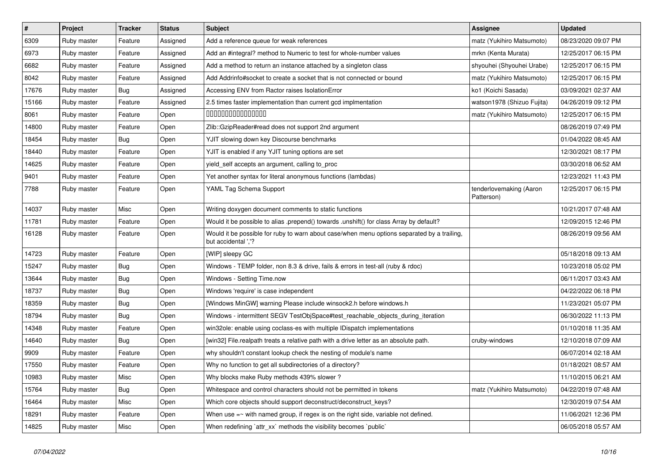| $\vert$ # | Project     | <b>Tracker</b> | <b>Status</b> | <b>Subject</b>                                                                                                     | Assignee                              | <b>Updated</b>      |
|-----------|-------------|----------------|---------------|--------------------------------------------------------------------------------------------------------------------|---------------------------------------|---------------------|
| 6309      | Ruby master | Feature        | Assigned      | Add a reference queue for weak references                                                                          | matz (Yukihiro Matsumoto)             | 08/23/2020 09:07 PM |
| 6973      | Ruby master | Feature        | Assigned      | Add an #integral? method to Numeric to test for whole-number values                                                | mrkn (Kenta Murata)                   | 12/25/2017 06:15 PM |
| 6682      | Ruby master | Feature        | Assigned      | Add a method to return an instance attached by a singleton class                                                   | shyouhei (Shyouhei Urabe)             | 12/25/2017 06:15 PM |
| 8042      | Ruby master | Feature        | Assigned      | Add Addrinfo#socket to create a socket that is not connected or bound                                              | matz (Yukihiro Matsumoto)             | 12/25/2017 06:15 PM |
| 17676     | Ruby master | <b>Bug</b>     | Assigned      | Accessing ENV from Ractor raises IsolationError                                                                    | ko1 (Koichi Sasada)                   | 03/09/2021 02:37 AM |
| 15166     | Ruby master | Feature        | Assigned      | 2.5 times faster implementation than current gcd implmentation                                                     | watson1978 (Shizuo Fujita)            | 04/26/2019 09:12 PM |
| 8061      | Ruby master | Feature        | Open          | 000000000000000                                                                                                    | matz (Yukihiro Matsumoto)             | 12/25/2017 06:15 PM |
| 14800     | Ruby master | Feature        | Open          | Zlib::GzipReader#read does not support 2nd argument                                                                |                                       | 08/26/2019 07:49 PM |
| 18454     | Ruby master | <b>Bug</b>     | Open          | YJIT slowing down key Discourse benchmarks                                                                         |                                       | 01/04/2022 08:45 AM |
| 18440     | Ruby master | Feature        | Open          | YJIT is enabled if any YJIT tuning options are set                                                                 |                                       | 12/30/2021 08:17 PM |
| 14625     | Ruby master | Feature        | Open          | yield_self accepts an argument, calling to_proc                                                                    |                                       | 03/30/2018 06:52 AM |
| 9401      | Ruby master | Feature        | Open          | Yet another syntax for literal anonymous functions (lambdas)                                                       |                                       | 12/23/2021 11:43 PM |
| 7788      | Ruby master | Feature        | Open          | YAML Tag Schema Support                                                                                            | tenderlovemaking (Aaron<br>Patterson) | 12/25/2017 06:15 PM |
| 14037     | Ruby master | Misc           | Open          | Writing doxygen document comments to static functions                                                              |                                       | 10/21/2017 07:48 AM |
| 11781     | Ruby master | Feature        | Open          | Would it be possible to alias .prepend() towards .unshift() for class Array by default?                            |                                       | 12/09/2015 12:46 PM |
| 16128     | Ruby master | Feature        | Open          | Would it be possible for ruby to warn about case/when menu options separated by a trailing,<br>but accidental ','? |                                       | 08/26/2019 09:56 AM |
| 14723     | Ruby master | Feature        | Open          | [WIP] sleepy GC                                                                                                    |                                       | 05/18/2018 09:13 AM |
| 15247     | Ruby master | <b>Bug</b>     | Open          | Windows - TEMP folder, non 8.3 & drive, fails & errors in test-all (ruby & rdoc)                                   |                                       | 10/23/2018 05:02 PM |
| 13644     | Ruby master | <b>Bug</b>     | Open          | Windows - Setting Time.now                                                                                         |                                       | 06/11/2017 03:43 AM |
| 18737     | Ruby master | Bug            | Open          | Windows 'require' is case independent                                                                              |                                       | 04/22/2022 06:18 PM |
| 18359     | Ruby master | <b>Bug</b>     | Open          | [Windows MinGW] warning Please include winsock2.h before windows.h                                                 |                                       | 11/23/2021 05:07 PM |
| 18794     | Ruby master | Bug            | Open          | Windows - intermittent SEGV TestObjSpace#test_reachable_objects_during_iteration                                   |                                       | 06/30/2022 11:13 PM |
| 14348     | Ruby master | Feature        | Open          | win32ole: enable using coclass-es with multiple IDispatch implementations                                          |                                       | 01/10/2018 11:35 AM |
| 14640     | Ruby master | <b>Bug</b>     | Open          | [win32] File.realpath treats a relative path with a drive letter as an absolute path.                              | cruby-windows                         | 12/10/2018 07:09 AM |
| 9909      | Ruby master | Feature        | Open          | why shouldn't constant lookup check the nesting of module's name                                                   |                                       | 06/07/2014 02:18 AM |
| 17550     | Ruby master | Feature        | Open          | Why no function to get all subdirectories of a directory?                                                          |                                       | 01/18/2021 08:57 AM |
| 10983     | Ruby master | Misc           | Open          | Why blocks make Ruby methods 439% slower?                                                                          |                                       | 11/10/2015 06:21 AM |
| 15764     | Ruby master | <b>Bug</b>     | Open          | Whitespace and control characters should not be permitted in tokens                                                | matz (Yukihiro Matsumoto)             | 04/22/2019 07:48 AM |
| 16464     | Ruby master | Misc           | Open          | Which core objects should support deconstruct/deconstruct_keys?                                                    |                                       | 12/30/2019 07:54 AM |
| 18291     | Ruby master | Feature        | Open          | When use $=$ with named group, if regex is on the right side, variable not defined.                                |                                       | 11/06/2021 12:36 PM |
| 14825     | Ruby master | Misc           | Open          | When redefining `attr_xx` methods the visibility becomes `public`                                                  |                                       | 06/05/2018 05:57 AM |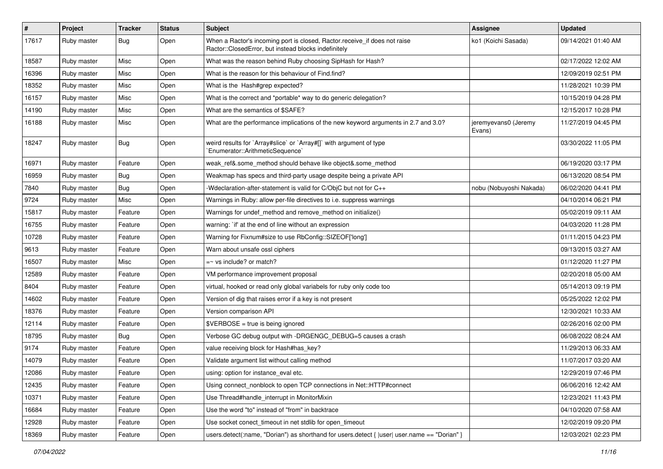| $\vert$ # | Project     | <b>Tracker</b> | <b>Status</b> | Subject                                                                                                                           | Assignee                       | <b>Updated</b>      |
|-----------|-------------|----------------|---------------|-----------------------------------------------------------------------------------------------------------------------------------|--------------------------------|---------------------|
| 17617     | Ruby master | Bug            | Open          | When a Ractor's incoming port is closed, Ractor.receive_if does not raise<br>Ractor::ClosedError, but instead blocks indefinitely | ko1 (Koichi Sasada)            | 09/14/2021 01:40 AM |
| 18587     | Ruby master | Misc           | Open          | What was the reason behind Ruby choosing SipHash for Hash?                                                                        |                                | 02/17/2022 12:02 AM |
| 16396     | Ruby master | Misc           | Open          | What is the reason for this behaviour of Find.find?                                                                               |                                | 12/09/2019 02:51 PM |
| 18352     | Ruby master | Misc           | Open          | What is the Hash#grep expected?                                                                                                   |                                | 11/28/2021 10:39 PM |
| 16157     | Ruby master | Misc           | Open          | What is the correct and *portable* way to do generic delegation?                                                                  |                                | 10/15/2019 04:28 PM |
| 14190     | Ruby master | Misc           | Open          | What are the semantics of \$SAFE?                                                                                                 |                                | 12/15/2017 10:28 PM |
| 16188     | Ruby master | Misc           | Open          | What are the performance implications of the new keyword arguments in 2.7 and 3.0?                                                | jeremyevans0 (Jeremy<br>Evans) | 11/27/2019 04:45 PM |
| 18247     | Ruby master | Bug            | Open          | weird results for `Array#slice` or `Array#[]` with argument of type<br>`Enumerator::ArithmeticSequence`                           |                                | 03/30/2022 11:05 PM |
| 16971     | Ruby master | Feature        | Open          | weak_ref&.some_method should behave like object&.some_method                                                                      |                                | 06/19/2020 03:17 PM |
| 16959     | Ruby master | Bug            | Open          | Weakmap has specs and third-party usage despite being a private API                                                               |                                | 06/13/2020 08:54 PM |
| 7840      | Ruby master | Bug            | Open          | -Wdeclaration-after-statement is valid for C/ObiC but not for C++                                                                 | nobu (Nobuyoshi Nakada)        | 06/02/2020 04:41 PM |
| 9724      | Ruby master | Misc           | Open          | Warnings in Ruby: allow per-file directives to i.e. suppress warnings                                                             |                                | 04/10/2014 06:21 PM |
| 15817     | Ruby master | Feature        | Open          | Warnings for undef method and remove method on initialize()                                                                       |                                | 05/02/2019 09:11 AM |
| 16755     | Ruby master | Feature        | Open          | warning: `if' at the end of line without an expression                                                                            |                                | 04/03/2020 11:28 PM |
| 10728     | Ruby master | Feature        | Open          | Warning for Fixnum#size to use RbConfig::SIZEOF['long']                                                                           |                                | 01/11/2015 04:23 PM |
| 9613      | Ruby master | Feature        | Open          | Warn about unsafe ossl ciphers                                                                                                    |                                | 09/13/2015 03:27 AM |
| 16507     | Ruby master | Misc           | Open          | $=$ vs include? or match?                                                                                                         |                                | 01/12/2020 11:27 PM |
| 12589     | Ruby master | Feature        | Open          | VM performance improvement proposal                                                                                               |                                | 02/20/2018 05:00 AM |
| 8404      | Ruby master | Feature        | Open          | virtual, hooked or read only global variabels for ruby only code too                                                              |                                | 05/14/2013 09:19 PM |
| 14602     | Ruby master | Feature        | Open          | Version of dig that raises error if a key is not present                                                                          |                                | 05/25/2022 12:02 PM |
| 18376     | Ruby master | Feature        | Open          | Version comparison API                                                                                                            |                                | 12/30/2021 10:33 AM |
| 12114     | Ruby master | Feature        | Open          | $\texttt{SVERBOSE}$ = true is being ignored                                                                                       |                                | 02/26/2016 02:00 PM |
| 18795     | Ruby master | Bug            | Open          | Verbose GC debug output with -DRGENGC_DEBUG=5 causes a crash                                                                      |                                | 06/08/2022 08:24 AM |
| 9174      | Ruby master | Feature        | Open          | value receiving block for Hash#has key?                                                                                           |                                | 11/29/2013 06:33 AM |
| 14079     | Ruby master | Feature        | Open          | Validate argument list without calling method                                                                                     |                                | 11/07/2017 03:20 AM |
| 12086     | Ruby master | Feature        | Open          | using: option for instance_eval etc.                                                                                              |                                | 12/29/2019 07:46 PM |
| 12435     | Ruby master | Feature        | Open          | Using connect nonblock to open TCP connections in Net::HTTP#connect                                                               |                                | 06/06/2016 12:42 AM |
| 10371     | Ruby master | Feature        | Open          | Use Thread#handle interrupt in MonitorMixin                                                                                       |                                | 12/23/2021 11:43 PM |
| 16684     | Ruby master | Feature        | Open          | Use the word "to" instead of "from" in backtrace                                                                                  |                                | 04/10/2020 07:58 AM |
| 12928     | Ruby master | Feature        | Open          | Use socket conect_timeout in net stdlib for open_timeout                                                                          |                                | 12/02/2019 09:20 PM |
| 18369     | Ruby master | Feature        | Open          | users.detect(:name, "Dorian") as shorthand for users.detect {  user  user.name == "Dorian" }                                      |                                | 12/03/2021 02:23 PM |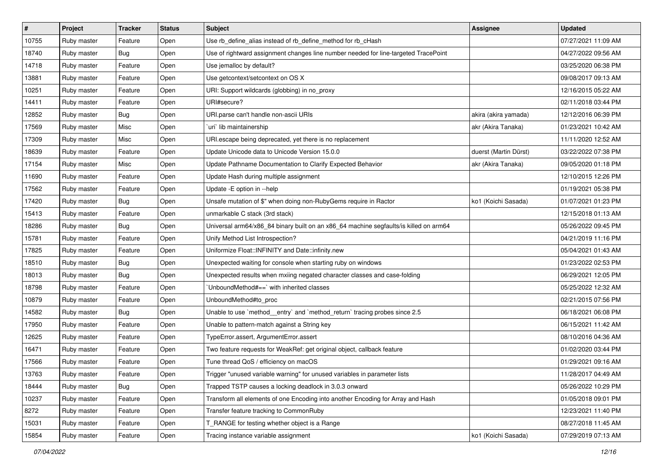| $\vert$ # | Project     | <b>Tracker</b> | <b>Status</b> | <b>Subject</b>                                                                        | <b>Assignee</b>       | <b>Updated</b>      |
|-----------|-------------|----------------|---------------|---------------------------------------------------------------------------------------|-----------------------|---------------------|
| 10755     | Ruby master | Feature        | Open          | Use rb_define_alias instead of rb_define_method for rb_cHash                          |                       | 07/27/2021 11:09 AM |
| 18740     | Ruby master | Bug            | Open          | Use of rightward assignment changes line number needed for line-targeted TracePoint   |                       | 04/27/2022 09:56 AM |
| 14718     | Ruby master | Feature        | Open          | Use jemalloc by default?                                                              |                       | 03/25/2020 06:38 PM |
| 13881     | Ruby master | Feature        | Open          | Use getcontext/setcontext on OS X                                                     |                       | 09/08/2017 09:13 AM |
| 10251     | Ruby master | Feature        | Open          | URI: Support wildcards (globbing) in no_proxy                                         |                       | 12/16/2015 05:22 AM |
| 14411     | Ruby master | Feature        | Open          | URI#secure?                                                                           |                       | 02/11/2018 03:44 PM |
| 12852     | Ruby master | Bug            | Open          | URI.parse can't handle non-ascii URIs                                                 | akira (akira yamada)  | 12/12/2016 06:39 PM |
| 17569     | Ruby master | Misc           | Open          | uri` lib maintainership                                                               | akr (Akira Tanaka)    | 01/23/2021 10:42 AM |
| 17309     | Ruby master | Misc           | Open          | URI escape being deprecated, yet there is no replacement                              |                       | 11/11/2020 12:52 AM |
| 18639     | Ruby master | Feature        | Open          | Update Unicode data to Unicode Version 15.0.0                                         | duerst (Martin Dürst) | 03/22/2022 07:38 PM |
| 17154     | Ruby master | Misc           | Open          | Update Pathname Documentation to Clarify Expected Behavior                            | akr (Akira Tanaka)    | 09/05/2020 01:18 PM |
| 11690     | Ruby master | Feature        | Open          | Update Hash during multiple assignment                                                |                       | 12/10/2015 12:26 PM |
| 17562     | Ruby master | Feature        | Open          | Update -E option in --help                                                            |                       | 01/19/2021 05:38 PM |
| 17420     | Ruby master | Bug            | Open          | Unsafe mutation of \$" when doing non-RubyGems require in Ractor                      | ko1 (Koichi Sasada)   | 01/07/2021 01:23 PM |
| 15413     | Ruby master | Feature        | Open          | unmarkable C stack (3rd stack)                                                        |                       | 12/15/2018 01:13 AM |
| 18286     | Ruby master | Bug            | Open          | Universal arm64/x86_84 binary built on an x86_64 machine segfaults/is killed on arm64 |                       | 05/26/2022 09:45 PM |
| 15781     | Ruby master | Feature        | Open          | Unify Method List Introspection?                                                      |                       | 04/21/2019 11:16 PM |
| 17825     | Ruby master | Feature        | Open          | Uniformize Float::INFINITY and Date::infinity.new                                     |                       | 05/04/2021 01:43 AM |
| 18510     | Ruby master | Bug            | Open          | Unexpected waiting for console when starting ruby on windows                          |                       | 01/23/2022 02:53 PM |
| 18013     | Ruby master | Bug            | Open          | Unexpected results when mxiing negated character classes and case-folding             |                       | 06/29/2021 12:05 PM |
| 18798     | Ruby master | Feature        | Open          | 'UnboundMethod#==' with inherited classes                                             |                       | 05/25/2022 12:32 AM |
| 10879     | Ruby master | Feature        | Open          | UnboundMethod#to_proc                                                                 |                       | 02/21/2015 07:56 PM |
| 14582     | Ruby master | <b>Bug</b>     | Open          | Unable to use `method_entry` and `method_return` tracing probes since 2.5             |                       | 06/18/2021 06:08 PM |
| 17950     | Ruby master | Feature        | Open          | Unable to pattern-match against a String key                                          |                       | 06/15/2021 11:42 AM |
| 12625     | Ruby master | Feature        | Open          | TypeError.assert, ArgumentError.assert                                                |                       | 08/10/2016 04:36 AM |
| 16471     | Ruby master | Feature        | Open          | Two feature requests for WeakRef: get original object, callback feature               |                       | 01/02/2020 03:44 PM |
| 17566     | Ruby master | Feature        | Open          | Tune thread QoS / efficiency on macOS                                                 |                       | 01/29/2021 09:16 AM |
| 13763     | Ruby master | Feature        | Open          | Trigger "unused variable warning" for unused variables in parameter lists             |                       | 11/28/2017 04:49 AM |
| 18444     | Ruby master | Bug            | Open          | Trapped TSTP causes a locking deadlock in 3.0.3 onward                                |                       | 05/26/2022 10:29 PM |
| 10237     | Ruby master | Feature        | Open          | Transform all elements of one Encoding into another Encoding for Array and Hash       |                       | 01/05/2018 09:01 PM |
| 8272      | Ruby master | Feature        | Open          | Transfer feature tracking to CommonRuby                                               |                       | 12/23/2021 11:40 PM |
| 15031     | Ruby master | Feature        | Open          | T RANGE for testing whether object is a Range                                         |                       | 08/27/2018 11:45 AM |
| 15854     | Ruby master | Feature        | Open          | Tracing instance variable assignment                                                  | ko1 (Koichi Sasada)   | 07/29/2019 07:13 AM |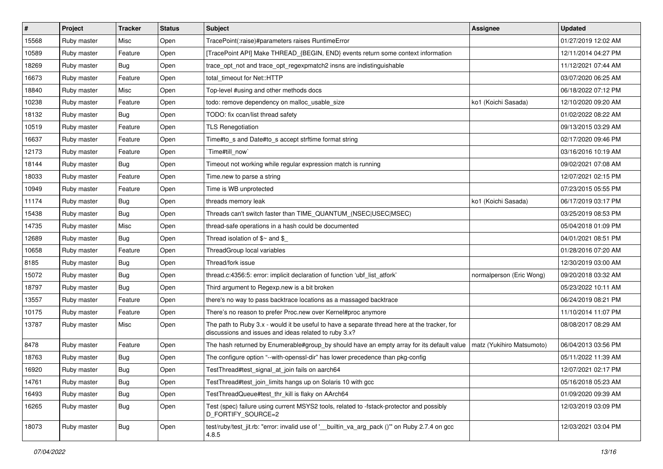| $\vert$ # | Project     | <b>Tracker</b> | <b>Status</b> | Subject                                                                                                                                               | <b>Assignee</b>           | <b>Updated</b>      |
|-----------|-------------|----------------|---------------|-------------------------------------------------------------------------------------------------------------------------------------------------------|---------------------------|---------------------|
| 15568     | Ruby master | Misc           | Open          | TracePoint(:raise)#parameters raises RuntimeError                                                                                                     |                           | 01/27/2019 12:02 AM |
| 10589     | Ruby master | Feature        | Open          | [TracePoint API] Make THREAD_{BEGIN, END} events return some context information                                                                      |                           | 12/11/2014 04:27 PM |
| 18269     | Ruby master | Bug            | Open          | trace_opt_not and trace_opt_regexpmatch2 insns are indistinguishable                                                                                  |                           | 11/12/2021 07:44 AM |
| 16673     | Ruby master | Feature        | Open          | total timeout for Net::HTTP                                                                                                                           |                           | 03/07/2020 06:25 AM |
| 18840     | Ruby master | Misc           | Open          | Top-level #using and other methods docs                                                                                                               |                           | 06/18/2022 07:12 PM |
| 10238     | Ruby master | Feature        | Open          | todo: remove dependency on malloc usable size                                                                                                         | ko1 (Koichi Sasada)       | 12/10/2020 09:20 AM |
| 18132     | Ruby master | Bug            | Open          | TODO: fix ccan/list thread safety                                                                                                                     |                           | 01/02/2022 08:22 AM |
| 10519     | Ruby master | Feature        | Open          | <b>TLS Renegotiation</b>                                                                                                                              |                           | 09/13/2015 03:29 AM |
| 16637     | Ruby master | Feature        | Open          | Time#to_s and Date#to_s accept strftime format string                                                                                                 |                           | 02/17/2020 09:46 PM |
| 12173     | Ruby master | Feature        | Open          | Time#till_now`                                                                                                                                        |                           | 03/16/2016 10:19 AM |
| 18144     | Ruby master | Bug            | Open          | Timeout not working while regular expression match is running                                                                                         |                           | 09/02/2021 07:08 AM |
| 18033     | Ruby master | Feature        | Open          | Time.new to parse a string                                                                                                                            |                           | 12/07/2021 02:15 PM |
| 10949     | Ruby master | Feature        | Open          | Time is WB unprotected                                                                                                                                |                           | 07/23/2015 05:55 PM |
| 11174     | Ruby master | Bug            | Open          | threads memory leak                                                                                                                                   | ko1 (Koichi Sasada)       | 06/17/2019 03:17 PM |
| 15438     | Ruby master | <b>Bug</b>     | Open          | Threads can't switch faster than TIME_QUANTUM_(NSEC USEC MSEC)                                                                                        |                           | 03/25/2019 08:53 PM |
| 14735     | Ruby master | Misc           | Open          | thread-safe operations in a hash could be documented                                                                                                  |                           | 05/04/2018 01:09 PM |
| 12689     | Ruby master | <b>Bug</b>     | Open          | Thread isolation of $\gamma$ and $\gamma$                                                                                                             |                           | 04/01/2021 08:51 PM |
| 10658     | Ruby master | Feature        | Open          | ThreadGroup local variables                                                                                                                           |                           | 01/28/2016 07:20 AM |
| 8185      | Ruby master | Bug            | Open          | Thread/fork issue                                                                                                                                     |                           | 12/30/2019 03:00 AM |
| 15072     | Ruby master | <b>Bug</b>     | Open          | thread.c:4356:5: error: implicit declaration of function 'ubf_list_atfork'                                                                            | normalperson (Eric Wong)  | 09/20/2018 03:32 AM |
| 18797     | Ruby master | Bug            | Open          | Third argument to Regexp.new is a bit broken                                                                                                          |                           | 05/23/2022 10:11 AM |
| 13557     | Ruby master | Feature        | Open          | there's no way to pass backtrace locations as a massaged backtrace                                                                                    |                           | 06/24/2019 08:21 PM |
| 10175     | Ruby master | Feature        | Open          | There's no reason to prefer Proc.new over Kernel#proc anymore                                                                                         |                           | 11/10/2014 11:07 PM |
| 13787     | Ruby master | Misc           | Open          | The path to Ruby 3.x - would it be useful to have a separate thread here at the tracker, for<br>discussions and issues and ideas related to ruby 3.x? |                           | 08/08/2017 08:29 AM |
| 8478      | Ruby master | Feature        | Open          | The hash returned by Enumerable#group_by should have an empty array for its default value                                                             | matz (Yukihiro Matsumoto) | 06/04/2013 03:56 PM |
| 18763     | Ruby master | Bug            | Open          | The configure option "--with-openssl-dir" has lower precedence than pkg-config                                                                        |                           | 05/11/2022 11:39 AM |
| 16920     | Ruby master | <b>Bug</b>     | Open          | TestThread#test_signal_at_join fails on aarch64                                                                                                       |                           | 12/07/2021 02:17 PM |
| 14761     | Ruby master | <b>Bug</b>     | Open          | TestThread#test_join_limits hangs up on Solaris 10 with gcc                                                                                           |                           | 05/16/2018 05:23 AM |
| 16493     | Ruby master | Bug            | Open          | TestThreadQueue#test thr kill is flaky on AArch64                                                                                                     |                           | 01/09/2020 09:39 AM |
| 16265     | Ruby master | Bug            | Open          | Test (spec) failure using current MSYS2 tools, related to -fstack-protector and possibly<br>D_FORTIFY_SOURCE=2                                        |                           | 12/03/2019 03:09 PM |
| 18073     | Ruby master | Bug            | Open          | test/ruby/test_jit.rb: "error: invalid use of '__builtin_va_arg_pack ()" on Ruby 2.7.4 on gcc<br>4.8.5                                                |                           | 12/03/2021 03:04 PM |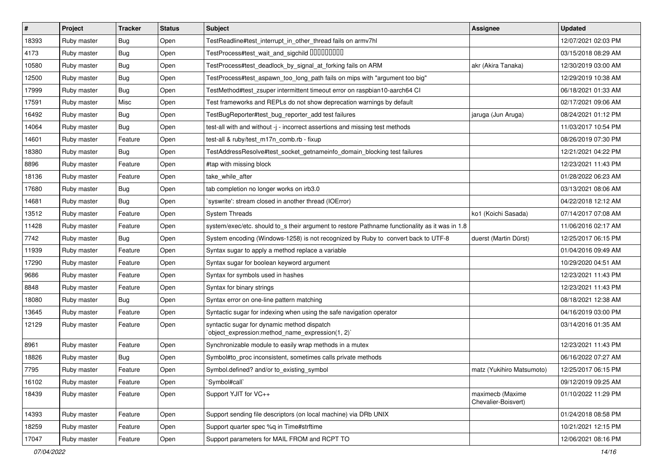| $\vert$ # | Project     | <b>Tracker</b> | <b>Status</b> | <b>Subject</b>                                                                                  | <b>Assignee</b>                         | <b>Updated</b>      |
|-----------|-------------|----------------|---------------|-------------------------------------------------------------------------------------------------|-----------------------------------------|---------------------|
| 18393     | Ruby master | Bug            | Open          | TestReadline#test interrupt in other thread fails on armv7hl                                    |                                         | 12/07/2021 02:03 PM |
| 4173      | Ruby master | Bug            | Open          | TestProcess#test_wait_and_sigchild DDDDDDDD                                                     |                                         | 03/15/2018 08:29 AM |
| 10580     | Ruby master | Bug            | Open          | TestProcess#test_deadlock_by_signal_at_forking fails on ARM                                     | akr (Akira Tanaka)                      | 12/30/2019 03:00 AM |
| 12500     | Ruby master | Bug            | Open          | TestProcess#test_aspawn_too_long_path fails on mips with "argument too big"                     |                                         | 12/29/2019 10:38 AM |
| 17999     | Ruby master | <b>Bug</b>     | Open          | TestMethod#test_zsuper intermittent timeout error on raspbian10-aarch64 CI                      |                                         | 06/18/2021 01:33 AM |
| 17591     | Ruby master | Misc           | Open          | Test frameworks and REPLs do not show deprecation warnings by default                           |                                         | 02/17/2021 09:06 AM |
| 16492     | Ruby master | Bug            | Open          | TestBugReporter#test_bug_reporter_add test failures                                             | jaruga (Jun Aruga)                      | 08/24/2021 01:12 PM |
| 14064     | Ruby master | Bug            | Open          | test-all with and without -j - incorrect assertions and missing test methods                    |                                         | 11/03/2017 10:54 PM |
| 14601     | Ruby master | Feature        | Open          | test-all & ruby/test_m17n_comb.rb - fixup                                                       |                                         | 08/26/2019 07:30 PM |
| 18380     | Ruby master | Bug            | Open          | TestAddressResolve#test_socket_getnameinfo_domain_blocking test failures                        |                                         | 12/21/2021 04:22 PM |
| 8896      | Ruby master | Feature        | Open          | #tap with missing block                                                                         |                                         | 12/23/2021 11:43 PM |
| 18136     | Ruby master | Feature        | Open          | take while after                                                                                |                                         | 01/28/2022 06:23 AM |
| 17680     | Ruby master | Bug            | Open          | tab completion no longer works on irb3.0                                                        |                                         | 03/13/2021 08:06 AM |
| 14681     | Ruby master | Bug            | Open          | 'syswrite': stream closed in another thread (IOError)                                           |                                         | 04/22/2018 12:12 AM |
| 13512     | Ruby master | Feature        | Open          | <b>System Threads</b>                                                                           | ko1 (Koichi Sasada)                     | 07/14/2017 07:08 AM |
| 11428     | Ruby master | Feature        | Open          | system/exec/etc. should to s their argument to restore Pathname functionality as it was in 1.8  |                                         | 11/06/2016 02:17 AM |
| 7742      | Ruby master | Bug            | Open          | System encoding (Windows-1258) is not recognized by Ruby to convert back to UTF-8               | duerst (Martin Dürst)                   | 12/25/2017 06:15 PM |
| 11939     | Ruby master | Feature        | Open          | Syntax sugar to apply a method replace a variable                                               |                                         | 01/04/2016 09:49 AM |
| 17290     | Ruby master | Feature        | Open          | Syntax sugar for boolean keyword argument                                                       |                                         | 10/29/2020 04:51 AM |
| 9686      | Ruby master | Feature        | Open          | Syntax for symbols used in hashes                                                               |                                         | 12/23/2021 11:43 PM |
| 8848      | Ruby master | Feature        | Open          | Syntax for binary strings                                                                       |                                         | 12/23/2021 11:43 PM |
| 18080     | Ruby master | Bug            | Open          | Syntax error on one-line pattern matching                                                       |                                         | 08/18/2021 12:38 AM |
| 13645     | Ruby master | Feature        | Open          | Syntactic sugar for indexing when using the safe navigation operator                            |                                         | 04/16/2019 03:00 PM |
| 12129     | Ruby master | Feature        | Open          | syntactic sugar for dynamic method dispatch<br>'object_expression:method_name_expression(1, 2)' |                                         | 03/14/2016 01:35 AM |
| 8961      | Ruby master | Feature        | Open          | Synchronizable module to easily wrap methods in a mutex                                         |                                         | 12/23/2021 11:43 PM |
| 18826     | Ruby master | Bug            | Open          | Symbol#to_proc inconsistent, sometimes calls private methods                                    |                                         | 06/16/2022 07:27 AM |
| 7795      | Ruby master | Feature        | Open          | Symbol.defined? and/or to existing symbol                                                       | matz (Yukihiro Matsumoto)               | 12/25/2017 06:15 PM |
| 16102     | Ruby master | Feature        | Open          | `Symbol#call`                                                                                   |                                         | 09/12/2019 09:25 AM |
| 18439     | Ruby master | Feature        | Open          | Support YJIT for VC++                                                                           | maximecb (Maxime<br>Chevalier-Boisvert) | 01/10/2022 11:29 PM |
| 14393     | Ruby master | Feature        | Open          | Support sending file descriptors (on local machine) via DRb UNIX                                |                                         | 01/24/2018 08:58 PM |
| 18259     | Ruby master | Feature        | Open          | Support quarter spec %q in Time#strftime                                                        |                                         | 10/21/2021 12:15 PM |
| 17047     | Ruby master | Feature        | Open          | Support parameters for MAIL FROM and RCPT TO                                                    |                                         | 12/06/2021 08:16 PM |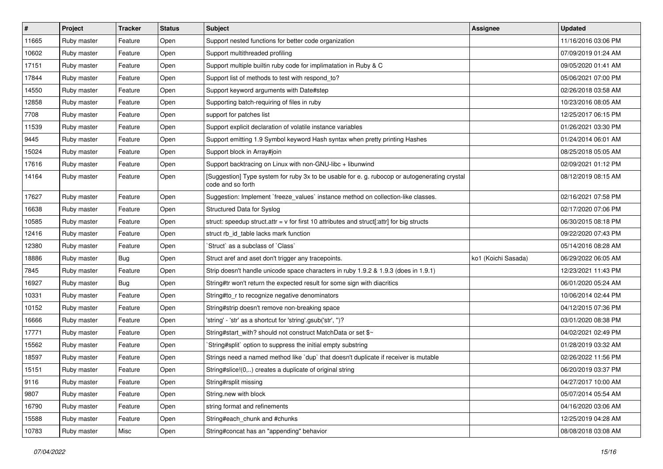| $\sharp$ | Project     | <b>Tracker</b> | <b>Status</b> | <b>Subject</b>                                                                                                     | Assignee            | <b>Updated</b>      |
|----------|-------------|----------------|---------------|--------------------------------------------------------------------------------------------------------------------|---------------------|---------------------|
| 11665    | Ruby master | Feature        | Open          | Support nested functions for better code organization                                                              |                     | 11/16/2016 03:06 PM |
| 10602    | Ruby master | Feature        | Open          | Support multithreaded profiling                                                                                    |                     | 07/09/2019 01:24 AM |
| 17151    | Ruby master | Feature        | Open          | Support multiple builtin ruby code for implimatation in Ruby & C                                                   |                     | 09/05/2020 01:41 AM |
| 17844    | Ruby master | Feature        | Open          | Support list of methods to test with respond to?                                                                   |                     | 05/06/2021 07:00 PM |
| 14550    | Ruby master | Feature        | Open          | Support keyword arguments with Date#step                                                                           |                     | 02/26/2018 03:58 AM |
| 12858    | Ruby master | Feature        | Open          | Supporting batch-requiring of files in ruby                                                                        |                     | 10/23/2016 08:05 AM |
| 7708     | Ruby master | Feature        | Open          | support for patches list                                                                                           |                     | 12/25/2017 06:15 PM |
| 11539    | Ruby master | Feature        | Open          | Support explicit declaration of volatile instance variables                                                        |                     | 01/26/2021 03:30 PM |
| 9445     | Ruby master | Feature        | Open          | Support emitting 1.9 Symbol keyword Hash syntax when pretty printing Hashes                                        |                     | 01/24/2014 06:01 AM |
| 15024    | Ruby master | Feature        | Open          | Support block in Array#join                                                                                        |                     | 08/25/2018 05:05 AM |
| 17616    | Ruby master | Feature        | Open          | Support backtracing on Linux with non-GNU-libc + libunwind                                                         |                     | 02/09/2021 01:12 PM |
| 14164    | Ruby master | Feature        | Open          | [Suggestion] Type system for ruby 3x to be usable for e. g. rubocop or autogenerating crystal<br>code and so forth |                     | 08/12/2019 08:15 AM |
| 17627    | Ruby master | Feature        | Open          | Suggestion: Implement `freeze_values` instance method on collection-like classes.                                  |                     | 02/16/2021 07:58 PM |
| 16638    | Ruby master | Feature        | Open          | Structured Data for Syslog                                                                                         |                     | 02/17/2020 07:06 PM |
| 10585    | Ruby master | Feature        | Open          | struct: speedup struct.attr = $v$ for first 10 attributes and struct[:attr] for big structs                        |                     | 06/30/2015 08:18 PM |
| 12416    | Ruby master | Feature        | Open          | struct rb id table lacks mark function                                                                             |                     | 09/22/2020 07:43 PM |
| 12380    | Ruby master | Feature        | Open          | 'Struct' as a subclass of 'Class'                                                                                  |                     | 05/14/2016 08:28 AM |
| 18886    | Ruby master | Bug            | Open          | Struct aref and aset don't trigger any tracepoints.                                                                | ko1 (Koichi Sasada) | 06/29/2022 06:05 AM |
| 7845     | Ruby master | Feature        | Open          | Strip doesn't handle unicode space characters in ruby 1.9.2 & 1.9.3 (does in 1.9.1)                                |                     | 12/23/2021 11:43 PM |
| 16927    | Ruby master | Bug            | Open          | String#tr won't return the expected result for some sign with diacritics                                           |                     | 06/01/2020 05:24 AM |
| 10331    | Ruby master | Feature        | Open          | String#to_r to recognize negative denominators                                                                     |                     | 10/06/2014 02:44 PM |
| 10152    | Ruby master | Feature        | Open          | String#strip doesn't remove non-breaking space                                                                     |                     | 04/12/2015 07:36 PM |
| 16666    | Ruby master | Feature        | Open          | 'string' - 'str' as a shortcut for 'string'.gsub('str', ")?                                                        |                     | 03/01/2020 08:38 PM |
| 17771    | Ruby master | Feature        | Open          | String#start_with? should not construct MatchData or set \$~                                                       |                     | 04/02/2021 02:49 PM |
| 15562    | Ruby master | Feature        | Open          | String#split` option to suppress the initial empty substring                                                       |                     | 01/28/2019 03:32 AM |
| 18597    | Ruby master | Feature        | Open          | Strings need a named method like 'dup' that doesn't duplicate if receiver is mutable                               |                     | 02/26/2022 11:56 PM |
| 15151    | Ruby master | Feature        | Open          | String#slice!(0,) creates a duplicate of original string                                                           |                     | 06/20/2019 03:37 PM |
| 9116     | Ruby master | Feature        | Open          | String#rsplit missing                                                                                              |                     | 04/27/2017 10:00 AM |
| 9807     | Ruby master | Feature        | Open          | String.new with block                                                                                              |                     | 05/07/2014 05:54 AM |
| 16790    | Ruby master | Feature        | Open          | string format and refinements                                                                                      |                     | 04/16/2020 03:06 AM |
| 15588    | Ruby master | Feature        | Open          | String#each_chunk and #chunks                                                                                      |                     | 12/25/2019 04:28 AM |
| 10783    | Ruby master | Misc           | Open          | String#concat has an "appending" behavior                                                                          |                     | 08/08/2018 03:08 AM |